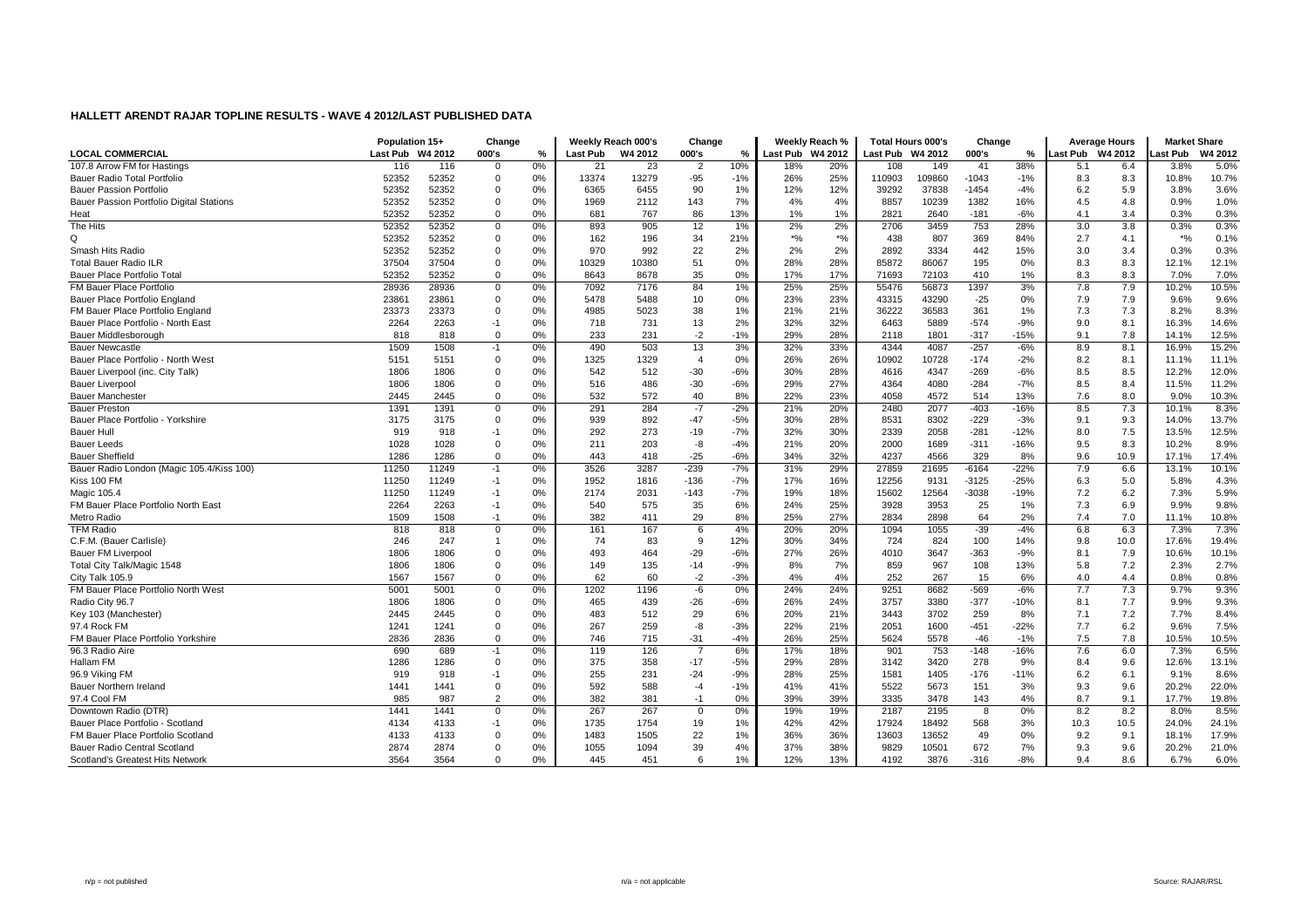|                                           | Population 15+   |       | Change         |    |          | Weekly Reach 000's | Change         |       |                  | Weekly Reach % |                  | <b>Total Hours 000's</b> | Change  |        | <b>Average Hours</b> |      | <b>Market Share</b> |         |
|-------------------------------------------|------------------|-------|----------------|----|----------|--------------------|----------------|-------|------------------|----------------|------------------|--------------------------|---------|--------|----------------------|------|---------------------|---------|
| <b>LOCAL COMMERCIAL</b>                   | Last Pub W4 2012 |       | 000's          | %  | Last Pub | W4 2012            | 000's          | %     | Last Pub W4 2012 |                | Last Pub W4 2012 |                          | 000's   | %      | Last Pub W4 2012     |      | ast Pub             | W4 2012 |
| 107.8 Arrow FM for Hastings               | 116              | 116   | 0              | 0% | 21       | 23                 | $\overline{2}$ | 10%   | 18%              | 20%            | 108              | 149                      | 41      | 38%    | 5.1                  | 6.4  | 3.8%                | 5.0%    |
| <b>Bauer Radio Total Portfolio</b>        | 52352            | 52352 | $\Omega$       | 0% | 13374    | 13279              | $-95$          | $-1%$ | 26%              | 25%            | 110903           | 109860                   | $-1043$ | $-1%$  | 8.3                  | 8.3  | 10.8%               | 10.7%   |
| <b>Bauer Passion Portfolio</b>            | 52352            | 52352 | $\mathbf 0$    | 0% | 6365     | 6455               | 90             | 1%    | 12%              | 12%            | 39292            | 37838                    | $-1454$ | $-4%$  | 6.2                  | 5.9  | 3.8%                | 3.6%    |
| Bauer Passion Portfolio Digital Stations  | 52352            | 52352 | $\mathbf 0$    | 0% | 1969     | 2112               | 143            | 7%    | 4%               | 4%             | 8857             | 10239                    | 1382    | 16%    | 4.5                  | 4.8  | 0.9%                | 1.0%    |
| Heat                                      | 52352            | 52352 | $\Omega$       | 0% | 681      | 767                | 86             | 13%   | 1%               | 1%             | 2821             | 2640                     | $-181$  | $-6%$  | 4.1                  | 3.4  | 0.3%                | 0.3%    |
| The Hits                                  | 52352            | 52352 | $\mathbf 0$    | 0% | 893      | 905                | 12             | 1%    | 2%               | 2%             | 2706             | 3459                     | 753     | 28%    | 3.0                  | 3.8  | 0.3%                | 0.3%    |
| Q                                         | 52352            | 52352 | $\Omega$       | 0% | 162      | 196                | 34             | 21%   | $*$ %            | $*$ %          | 438              | 807                      | 369     | 84%    | 2.7                  | 4.1  | $*$ %               | 0.1%    |
| Smash Hits Radio                          | 52352            | 52352 | $\Omega$       | 0% | 970      | 992                | 22             | 2%    | 2%               | 2%             | 2892             | 3334                     | 442     | 15%    | 3.0                  | 3.4  | 0.3%                | 0.3%    |
| <b>Total Bauer Radio ILR</b>              | 37504            | 37504 | $\Omega$       | 0% | 10329    | 10380              | 51             | 0%    | 28%              | 28%            | 85872            | 86067                    | 195     | 0%     | 8.3                  | 8.3  | 12.1%               | 12.1%   |
| Bauer Place Portfolio Total               | 52352            | 52352 | $\mathbf 0$    | 0% | 8643     | 8678               | 35             | 0%    | 17%              | 17%            | 71693            | 72103                    | 410     | 1%     | 8.3                  | 8.3  | 7.0%                | 7.0%    |
| FM Bauer Place Portfolio                  | 28936            | 28936 | $\mathbf 0$    | 0% | 7092     | 7176               | 84             | 1%    | 25%              | 25%            | 55476            | 56873                    | 1397    | 3%     | 7.8                  | 7.9  | 10.2%               | 10.5%   |
| Bauer Place Portfolio England             | 23861            | 23861 | $\mathbf 0$    | 0% | 5478     | 5488               | 10             | 0%    | 23%              | 23%            | 43315            | 43290                    | $-25$   | 0%     | 7.9                  | 7.9  | 9.6%                | 9.6%    |
| FM Bauer Place Portfolio England          | 23373            | 23373 | $\Omega$       | 0% | 4985     | 5023               | 38             | 1%    | 21%              | 21%            | 36222            | 36583                    | 361     | 1%     | 7.3                  | 7.3  | 8.2%                | 8.3%    |
| Bauer Place Portfolio - North East        | 2264             | 2263  | $-1$           | 0% | 718      | 731                | 13             | 2%    | 32%              | 32%            | 6463             | 5889                     | $-574$  | $-9%$  | 9.0                  | 8.1  | 16.3%               | 14.6%   |
| Bauer Middlesborough                      | 818              | 818   | $\Omega$       | 0% | 233      | 231                | $-2$           | $-1%$ | 29%              | 28%            | 2118             | 1801                     | $-317$  | -15%   | 9.1                  | 7.8  | 14.1%               | 12.5%   |
| <b>Bauer Newcastle</b>                    | 1509             | 1508  | $-1$           | 0% | 490      | 503                | 13             | 3%    | 32%              | 33%            | 4344             | 4087                     | $-257$  | $-6%$  | 8.9                  | 8.1  | 16.9%               | 15.2%   |
| Bauer Place Portfolio - North West        | 5151             | 5151  | $\Omega$       | 0% | 1325     | 1329               | $\overline{4}$ | 0%    | 26%              | 26%            | 10902            | 10728                    | $-174$  | $-2%$  | 8.2                  | 8.1  | 11.1%               | 11.1%   |
| Bauer Liverpool (inc. City Talk)          | 1806             | 1806  | $\Omega$       | 0% | 542      | 512                | $-30$          | $-6%$ | 30%              | 28%            | 4616             | 4347                     | $-269$  | $-6%$  | 8.5                  | 8.5  | 12.2%               | 12.0%   |
| <b>Bauer Liverpool</b>                    | 1806             | 1806  | $\Omega$       | 0% | 516      | 486                | $-30$          | $-6%$ | 29%              | 27%            | 4364             | 4080                     | $-284$  | $-7%$  | 8.5                  | 8.4  | 11.5%               | 11.2%   |
| <b>Bauer Manchester</b>                   | 2445             | 2445  | $\Omega$       | 0% | 532      | 572                | 40             | 8%    | 22%              | 23%            | 4058             | 4572                     | 514     | 13%    | 7.6                  | 8.0  | 9.0%                | 10.3%   |
| <b>Bauer Preston</b>                      | 1391             | 1391  | $\Omega$       | 0% | 291      | 284                | $-7$           | $-2%$ | 21%              | 20%            | 2480             | 2077                     | $-403$  | $-16%$ | 8.5                  | 7.3  | 10.1%               | 8.3%    |
| Bauer Place Portfolio - Yorkshire         | 3175             | 3175  | $\Omega$       | 0% | 939      | 892                | $-47$          | $-5%$ | 30%              | 28%            | 8531             | 8302                     | $-229$  | $-3%$  | 9.1                  | 9.3  | 14.0%               | 13.7%   |
| <b>Bauer Hull</b>                         | 919              | 918   | $-1$           | 0% | 292      | 273                | $-19$          | $-7%$ | 32%              | 30%            | 2339             | 2058                     | $-281$  | $-12%$ | 8.0                  | 7.5  | 13.5%               | 12.5%   |
| <b>Bauer Leeds</b>                        | 1028             | 1028  | $\mathbf 0$    | 0% | 211      | 203                | -8             | $-4%$ | 21%              | 20%            | 2000             | 1689                     | $-311$  | $-16%$ | 9.5                  | 8.3  | 10.2%               | 8.9%    |
| <b>Bauer Sheffield</b>                    | 1286             | 1286  | $\mathbf 0$    | 0% | 443      | 418                | $-25$          | $-6%$ | 34%              | 32%            | 4237             | 4566                     | 329     | 8%     | 9.6                  | 10.9 | 17.1%               | 17.4%   |
| Bauer Radio London (Magic 105.4/Kiss 100) | 11250            | 11249 | $-1$           | 0% | 3526     | 3287               | $-239$         | $-7%$ | 31%              | 29%            | 27859            | 21695                    | $-6164$ | $-22%$ | 7.9                  | 6.6  | 13.1%               | 10.1%   |
| Kiss 100 FM                               | 11250            | 11249 | $-1$           | 0% | 1952     | 1816               | -136           | $-7%$ | 17%              | 16%            | 12256            | 9131                     | $-3125$ | $-25%$ | 6.3                  | 5.0  | 5.8%                | 4.3%    |
| Magic 105.4                               | 11250            | 11249 | $-1$           | 0% | 2174     | 2031               | -143           | $-7%$ | 19%              | 18%            | 15602            | 12564                    | $-3038$ | $-19%$ | 7.2                  | 6.2  | 7.3%                | 5.9%    |
| FM Bauer Place Portfolio North East       | 2264             | 2263  | $-1$           | 0% | 540      | 575                | 35             | 6%    | 24%              | 25%            | 3928             | 3953                     | 25      | 1%     | 7.3                  | 6.9  | 9.9%                | 9.8%    |
| Metro Radio                               | 1509             | 1508  | $-1$           | 0% | 382      | 411                | 29             | 8%    | 25%              | 27%            | 2834             | 2898                     | 64      | 2%     | 7.4                  | 7.0  | 11.1%               | 10.8%   |
| <b>TFM Radio</b>                          | 818              | 818   | $\mathbf 0$    | 0% | 161      | 167                | 6              | 4%    | 20%              | 20%            | 1094             | 1055                     | $-39$   | $-4%$  | 6.8                  | 6.3  | 7.3%                | 7.3%    |
| C.F.M. (Bauer Carlisle)                   | 246              | 247   |                | 0% | 74       | 83                 | 9              | 12%   | 30%              | 34%            | 724              | 824                      | 100     | 14%    | 9.8                  | 10.0 | 17.6%               | 19.4%   |
| <b>Bauer FM Liverpool</b>                 | 1806             | 1806  | $\Omega$       | 0% | 493      | 464                | $-29$          | $-6%$ | 27%              | 26%            | 4010             | 3647                     | $-363$  | $-9%$  | 8.1                  | 7.9  | 10.6%               | 10.1%   |
| Total City Talk/Magic 1548                | 1806             | 1806  | $\mathbf 0$    | 0% | 149      | 135                | $-14$          | $-9%$ | 8%               | 7%             | 859              | 967                      | 108     | 13%    | 5.8                  | 7.2  | 2.3%                | 2.7%    |
| City Talk 105.9                           | 1567             | 1567  | $\Omega$       | 0% | 62       | 60                 | $-2$           | $-3%$ | 4%               | 4%             | 252              | 267                      | 15      | 6%     | 4.0                  | 4.4  | 0.8%                | 0.8%    |
| FM Bauer Place Portfolio North West       | 5001             | 5001  | $\mathbf 0$    | 0% | 1202     | 1196               | -6             | 0%    | 24%              | 24%            | 9251             | 8682                     | $-569$  | $-6%$  | 7.7                  | 7.3  | 9.7%                | 9.3%    |
| Radio City 96.7                           | 1806             | 1806  | $\Omega$       | 0% | 465      | 439                | $-26$          | $-6%$ | 26%              | 24%            | 3757             | 3380                     | $-377$  | $-10%$ | 8.1                  | 7.7  | 9.9%                | 9.3%    |
| Key 103 (Manchester)                      | 2445             | 2445  | $\Omega$       | 0% | 483      | 512                | 29             | 6%    | 20%              | 21%            | 3443             | 3702                     | 259     | 8%     | 7.1                  | 7.2  | 7.7%                | 8.4%    |
| 97.4 Rock FM                              | 1241             | 1241  | $\Omega$       | 0% | 267      | 259                | -8             | $-3%$ | 22%              | 21%            | 2051             | 1600                     | $-451$  | $-22%$ | 7.7                  | 6.2  | 9.6%                | 7.5%    |
| FM Bauer Place Portfolio Yorkshire        | 2836             | 2836  | $\Omega$       | 0% | 746      | 715                | $-31$          | $-4%$ | 26%              | 25%            | 5624             | 5578                     | $-46$   | $-1%$  | 7.5                  | 7.8  | 10.5%               | 10.5%   |
| 96.3 Radio Aire                           | 690              | 689   | $-1$           | 0% | 119      | 126                | 7              | 6%    | 17%              | 18%            | 901              | 753                      | $-148$  | $-16%$ | 7.6                  | 6.0  | 7.3%                | 6.5%    |
| Hallam FM                                 | 1286             | 1286  | $\Omega$       | 0% | 375      | 358                | $-17$          | $-5%$ | 29%              | 28%            | 3142             | 3420                     | 278     | 9%     | 8.4                  | 9.6  | 12.6%               | 13.1%   |
| 96.9 Viking FM                            | 919              | 918   | $-1$           | 0% | 255      | 231                | $-24$          | $-9%$ | 28%              | 25%            | 1581             | 1405                     | $-176$  | $-11%$ | 6.2                  | 6.1  | 9.1%                | 8.6%    |
| Bauer Northern Ireland                    | 1441             | 1441  | $\Omega$       | 0% | 592      | 588                | $-4$           | $-1%$ | 41%              | 41%            | 5522             | 5673                     | 151     | 3%     | 9.3                  | 9.6  | 20.2%               | 22.0%   |
| 97.4 Cool FM                              | 985              | 987   | $\overline{2}$ | 0% | 382      | 381                | $-1$           | 0%    | 39%              | 39%            | 3335             | 3478                     | 143     | 4%     | 8.7                  | 9.1  | 17.7%               | 19.8%   |
| Downtown Radio (DTR)                      | 1441             | 1441  | $\mathbf 0$    | 0% | 267      | 267                | $\mathbf 0$    | 0%    | 19%              | 19%            | 2187             | 2195                     | -8      | 0%     | 8.2                  | 8.2  | 8.0%                | 8.5%    |
| Bauer Place Portfolio - Scotland          | 4134             | 4133  | $-1$           | 0% | 1735     | 1754               | 19             | 1%    | 42%              | 42%            | 17924            | 18492                    | 568     | 3%     | 10.3                 | 10.5 | 24.0%               | 24.1%   |
| FM Bauer Place Portfolio Scotland         | 4133             | 4133  | $\Omega$       | 0% | 1483     | 1505               | 22             | 1%    | 36%              | 36%            | 13603            | 13652                    | 49      | 0%     | 9.2                  | 9.1  | 18.1%               | 17.9%   |
| Bauer Radio Central Scotland              | 2874             | 2874  | $\Omega$       | 0% | 1055     | 1094               | 39             | 4%    | 37%              | 38%            | 9829             | 10501                    | 672     | 7%     | 9.3                  | 9.6  | 20.2%               | 21.0%   |
| Scotland's Greatest Hits Network          | 3564             | 3564  | $\Omega$       | 0% | 445      | 451                | 6              | 1%    | 12%              | 13%            | 4192             | 3876                     | $-316$  | $-8%$  | 9.4                  | 8.6  | 6.7%                | 6.0%    |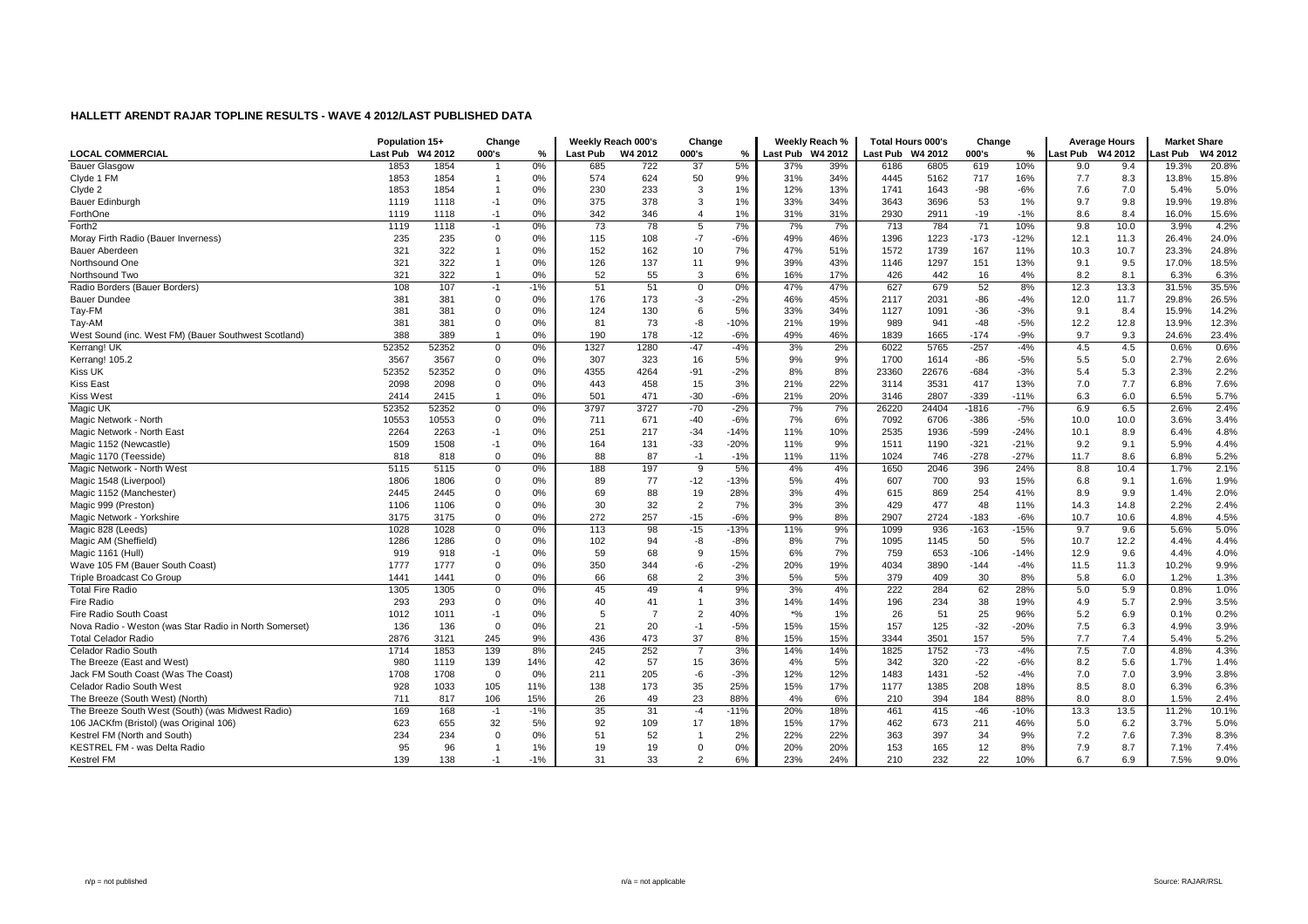|                                                        | Population 15+ |         | Change         |       |          | Weekly Reach 000's | Change         |        |                  | Weekly Reach % |          | <b>Total Hours 000's</b> | Change  |        |                 | <b>Average Hours</b> | <b>Market Share</b> |         |
|--------------------------------------------------------|----------------|---------|----------------|-------|----------|--------------------|----------------|--------|------------------|----------------|----------|--------------------------|---------|--------|-----------------|----------------------|---------------------|---------|
| <b>LOCAL COMMERCIAL</b>                                | Last Pub       | W4 2012 | 000's          | %     | Last Pub | W4 2012            | 000's          | %      | Last Pub W4 2012 |                | Last Pub | W4 2012                  | 000's   | %      | ast Pub W4 2012 |                      | ast Pub             | W4 2012 |
| <b>Bauer Glasgow</b>                                   | 1853           | 1854    |                | 0%    | 685      | 722                | 37             | 5%     | 37%              | 39%            | 6186     | 6805                     | 619     | 10%    | 9.0             | 9.4                  | 19.3%               | 20.8%   |
| Clyde 1 FM                                             | 1853           | 1854    |                | 0%    | 574      | 624                | 50             | 9%     | 31%              | 34%            | 4445     | 5162                     | 717     | 16%    | 7.7             | 8.3                  | 13.8%               | 15.8%   |
| Clyde 2                                                | 1853           | 1854    |                | 0%    | 230      | 233                | 3              | 1%     | 12%              | 13%            | 1741     | 1643                     | $-98$   | $-6%$  | 7.6             | 7.0                  | 5.4%                | 5.0%    |
| Bauer Edinburgh                                        | 1119           | 1118    | $-1$           | 0%    | 375      | 378                | 3              | 1%     | 33%              | 34%            | 3643     | 3696                     | 53      | 1%     | 9.7             | 9.8                  | 19.9%               | 19.8%   |
| ForthOne                                               | 1119           | 1118    | $-1$           | 0%    | 342      | 346                | 4              | 1%     | 31%              | 31%            | 2930     | 2911                     | $-19$   | $-1%$  | 8.6             | 8.4                  | 16.0%               | 15.6%   |
| Forth <sub>2</sub>                                     | 1119           | 1118    | -1             | 0%    | 73       | 78                 | 5              | 7%     | 7%               | 7%             | 713      | 784                      | 71      | 10%    | 9.8             | 10.0                 | 3.9%                | 4.2%    |
| Moray Firth Radio (Bauer Inverness)                    | 235            | 235     | $\Omega$       | 0%    | 115      | 108                | $-7$           | $-6%$  | 49%              | 46%            | 1396     | 1223                     | $-173$  | $-12%$ | 12.1            | 11.3                 | 26.4%               | 24.0%   |
| Bauer Aberdeen                                         | 321            | 322     |                | 0%    | 152      | 162                | 10             | 7%     | 47%              | 51%            | 1572     | 1739                     | 167     | 11%    | 10.3            | 10.7                 | 23.3%               | 24.8%   |
| Northsound One                                         | 321            | 322     |                | 0%    | 126      | 137                | 11             | 9%     | 39%              | 43%            | 1146     | 1297                     | 151     | 13%    | 9.1             | 9.5                  | 17.0%               | 18.5%   |
| Northsound Two                                         | 321            | 322     | $\overline{1}$ | 0%    | 52       | 55                 | 3              | 6%     | 16%              | 17%            | 426      | 442                      | 16      | 4%     | 8.2             | 8.1                  | 6.3%                | 6.3%    |
| Radio Borders (Bauer Borders)                          | 108            | 107     | $-1$           | $-1%$ | 51       | 51                 | 0              | 0%     | 47%              | 47%            | 627      | 679                      | 52      | 8%     | 12.3            | 13.3                 | 31.5%               | 35.5%   |
| <b>Bauer Dundee</b>                                    | 381            | 381     | $\Omega$       | 0%    | 176      | 173                | $-3$           | $-2%$  | 46%              | 45%            | 2117     | 2031                     | -86     | $-4%$  | 12.0            | 11.7                 | 29.8%               | 26.5%   |
| Tay-FM                                                 | 381            | 381     | $\Omega$       | 0%    | 124      | 130                | 6              | 5%     | 33%              | 34%            | 1127     | 1091                     | $-36$   | -3%    | 9.1             | 8.4                  | 15.9%               | 14.2%   |
| Tay-AM                                                 | 381            | 381     | $\Omega$       | 0%    | 81       | 73                 | -8             | $-10%$ | 21%              | 19%            | 989      | 941                      | $-48$   | $-5%$  | 12.2            | 12.8                 | 13.9%               | 12.3%   |
| West Sound (inc. West FM) (Bauer Southwest Scotland)   | 388            | 389     |                | 0%    | 190      | 178                | $-12$          | $-6%$  | 49%              | 46%            | 1839     | 1665                     | $-174$  | $-9%$  | 9.7             | 9.3                  | 24.6%               | 23.4%   |
| Kerrang! UK                                            | 52352          | 52352   | $\mathbf 0$    | 0%    | 1327     | 1280               | $-47$          | $-4%$  | 3%               | 2%             | 6022     | 5765                     | $-257$  | $-4%$  | 4.5             | 4.5                  | 0.6%                | 0.6%    |
| Kerrang! 105.2                                         | 3567           | 3567    | $\Omega$       | 0%    | 307      | 323                | 16             | 5%     | 9%               | 9%             | 1700     | 1614                     | $-86$   | $-5%$  | 5.5             | 5.0                  | 2.7%                | 2.6%    |
| Kiss UK                                                | 52352          | 52352   | $\Omega$       | 0%    | 4355     | 4264               | $-91$          | $-2%$  | 8%               | 8%             | 23360    | 22676                    | $-684$  | $-3%$  | 5.4             | 5.3                  | 2.3%                | 2.2%    |
| <b>Kiss East</b>                                       | 2098           | 2098    | $\Omega$       | 0%    | 443      | 458                | 15             | 3%     | 21%              | 22%            | 3114     | 3531                     | 417     | 13%    | 7.0             | 7.7                  | 6.8%                | 7.6%    |
| <b>Kiss West</b>                                       | 2414           | 2415    | $\mathbf{1}$   | 0%    | 501      | 471                | $-30$          | $-6%$  | 21%              | 20%            | 3146     | 2807                     | $-339$  | $-11%$ | 6.3             | 6.0                  | 6.5%                | 5.7%    |
| Magic UK                                               | 52352          | 52352   | $\Omega$       | 0%    | 3797     | 3727               | $-70$          | $-2%$  | 7%               | 7%             | 26220    | 24404                    | $-1816$ | $-7%$  | 6.9             | 6.5                  | 2.6%                | 2.4%    |
| Magic Network - North                                  | 10553          | 10553   | $\mathbf 0$    | 0%    | 711      | 671                | $-40$          | $-6%$  | 7%               | 6%             | 7092     | 6706                     | $-386$  | $-5%$  | 10.0            | 10.0                 | 3.6%                | 3.4%    |
| Magic Network - North East                             | 2264           | 2263    | $-1$           | 0%    | 251      | 217                | $-34$          | $-14%$ | 11%              | 10%            | 2535     | 1936                     | $-599$  | $-24%$ | 10.1            | 8.9                  | 6.4%                | 4.8%    |
| Magic 1152 (Newcastle)                                 | 1509           | 1508    | $-1$           | 0%    | 164      | 131                | $-33$          | $-20%$ | 11%              | 9%             | 1511     | 1190                     | $-321$  | $-21%$ | 9.2             | 9.1                  | 5.9%                | 4.4%    |
| Magic 1170 (Teesside)                                  | 818            | 818     | 0              | 0%    | 88       | 87                 | $-1$           | $-1%$  | 11%              | 11%            | 1024     | 746                      | $-278$  | $-27%$ | 11.7            | 8.6                  | 6.8%                | 5.2%    |
| Magic Network - North West                             | 5115           | 5115    | $\mathbf 0$    | 0%    | 188      | 197                | 9              | 5%     | 4%               | 4%             | 1650     | 2046                     | 396     | 24%    | 8.8             | 10.4                 | 1.7%                | 2.1%    |
| Magic 1548 (Liverpool)                                 | 1806           | 1806    | $\Omega$       | 0%    | 89       | 77                 | $-12$          | $-13%$ | 5%               | 4%             | 607      | 700                      | 93      | 15%    | 6.8             | 9.1                  | 1.6%                | 1.9%    |
| Magic 1152 (Manchester)                                | 2445           | 2445    | $\Omega$       | 0%    | 69       | 88                 | 19             | 28%    | 3%               | 4%             | 615      | 869                      | 254     | 41%    | 8.9             | 9.9                  | 1.4%                | 2.0%    |
| Magic 999 (Preston)                                    | 1106           | 1106    | $\Omega$       | 0%    | 30       | 32                 | $\overline{2}$ | 7%     | 3%               | 3%             | 429      | 477                      | 48      | 11%    | 14.3            | 14.8                 | 2.2%                | 2.4%    |
| Magic Network - Yorkshire                              | 3175           | 3175    | $\Omega$       | 0%    | 272      | 257                | $-15$          | $-6%$  | 9%               | 8%             | 2907     | 2724                     | $-183$  | $-6%$  | 10.7            | 10.6                 | 4.8%                | 4.5%    |
| Magic 828 (Leeds)                                      | 1028           | 1028    | $\Omega$       | 0%    | 113      | 98                 | $-15$          | $-13%$ | 11%              | 9%             | 1099     | 936                      | $-163$  | $-15%$ | 9.7             | 9.6                  | 5.6%                | 5.0%    |
| Magic AM (Sheffield)                                   | 1286           | 1286    | $\Omega$       | 0%    | 102      | 94                 | -8             | $-8%$  | 8%               | 7%             | 1095     | 1145                     | 50      | 5%     | 10.7            | 12.2                 | 4.4%                | 4.4%    |
| Magic 1161 (Hull)                                      | 919            | 918     | $-1$           | 0%    | 59       | 68                 | 9              | 15%    | 6%               | 7%             | 759      | 653                      | $-106$  | $-14%$ | 12.9            | 9.6                  | 4.4%                | 4.0%    |
| Wave 105 FM (Bauer South Coast)                        | 1777           | 1777    | $\mathbf 0$    | 0%    | 350      | 344                | -6             | $-2%$  | 20%              | 19%            | 4034     | 3890                     | $-144$  | $-4%$  | 11.5            | 11.3                 | 10.2%               | 9.9%    |
| Triple Broadcast Co Group                              | 1441           | 1441    | $\mathbf 0$    | 0%    | 66       | 68                 | $\overline{2}$ | 3%     | 5%               | 5%             | 379      | 409                      | 30      | 8%     | 5.8             | 6.0                  | 1.2%                | 1.3%    |
| <b>Total Fire Radio</b>                                | 1305           | 1305    | $\mathbf 0$    | 0%    | 45       | 49                 | $\overline{4}$ | 9%     | 3%               | 4%             | 222      | 284                      | 62      | 28%    | 5.0             | 5.9                  | 0.8%                | 1.0%    |
| Fire Radio                                             | 293            | 293     | $\Omega$       | 0%    | 40       | 41                 | $\overline{1}$ | 3%     | 14%              | 14%            | 196      | 234                      | 38      | 19%    | 4.9             | 5.7                  | 2.9%                | 3.5%    |
| Fire Radio South Coast                                 | 1012           | 1011    | $-1$           | 0%    | 5        | $\overline{7}$     | $\overline{2}$ | 40%    | $*$ %            | 1%             | 26       | 51                       | 25      | 96%    | 5.2             | 6.9                  | 0.1%                | 0.2%    |
| Nova Radio - Weston (was Star Radio in North Somerset) | 136            | 136     | $\Omega$       | 0%    | 21       | 20                 | $-1$           | $-5%$  | 15%              | 15%            | 157      | 125                      | $-32$   | -20%   | 7.5             | 6.3                  | 4.9%                | 3.9%    |
| <b>Total Celador Radio</b>                             | 2876           | 3121    | 245            | 9%    | 436      | 473                | 37             | 8%     | 15%              | 15%            | 3344     | 3501                     | 157     | 5%     | 7.7             | 7.4                  | 5.4%                | 5.2%    |
| Celador Radio South                                    | 1714           | 1853    | 139            | 8%    | 245      | 252                | $\overline{7}$ | 3%     | 14%              | 14%            | 1825     | 1752                     | $-73$   | $-4%$  | 7.5             | 7.0                  | 4.8%                | 4.3%    |
| The Breeze (East and West)                             | 980            | 1119    | 139            | 14%   | 42       | 57                 | 15             | 36%    | 4%               | 5%             | 342      | 320                      | $-22$   | $-6%$  | 8.2             | 5.6                  | 1.7%                | 1.4%    |
| Jack FM South Coast (Was The Coast)                    | 1708           | 1708    | $\Omega$       | 0%    | 211      | 205                | -6             | $-3%$  | 12%              | 12%            | 1483     | 1431                     | $-52$   | $-4%$  | 7.0             | 7.0                  | 3.9%                | 3.8%    |
| Celador Radio South West                               | 928            | 1033    | 105            | 11%   | 138      | 173                | 35             | 25%    | 15%              | 17%            | 1177     | 1385                     | 208     | 18%    | 8.5             | 8.0                  | 6.3%                | 6.3%    |
| The Breeze (South West) (North)                        | 711            | 817     | 106            | 15%   | 26       | 49                 | 23             | 88%    | 4%               | 6%             | 210      | 394                      | 184     | 88%    | 8.0             | 8.0                  | 1.5%                | 2.4%    |
| The Breeze South West (South) (was Midwest Radio)      | 169            | 168     | $-1$           | $-1%$ | 35       | 31                 | $-4$           | $-11%$ | 20%              | 18%            | 461      | 415                      | $-46$   | $-10%$ | 13.3            | 13.5                 | 11.2%               | 10.1%   |
| 106 JACKfm (Bristol) (was Original 106)                | 623            | 655     | 32             | 5%    | 92       | 109                | 17             | 18%    | 15%              | 17%            | 462      | 673                      | 211     | 46%    | 5.0             | 6.2                  | 3.7%                | 5.0%    |
| Kestrel FM (North and South)                           | 234            | 234     | $\Omega$       | 0%    | 51       | 52                 | $\overline{1}$ | 2%     | 22%              | 22%            | 363      | 397                      | 34      | 9%     | 7.2             | 7.6                  | 7.3%                | 8.3%    |
| KESTREL FM - was Delta Radio                           | 95             | 96      |                | 1%    | 19       | 19                 | $\Omega$       | 0%     | 20%              | 20%            | 153      | 165                      | 12      | 8%     | 7.9             | 8.7                  | 7.1%                | 7.4%    |
| <b>Kestrel FM</b>                                      | 139            | 138     | $-1$           | $-1%$ | 31       | 33                 | $\overline{2}$ | 6%     | 23%              | 24%            | 210      | 232                      | 22      | 10%    | 6.7             | 6.9                  | 7.5%                | 9.0%    |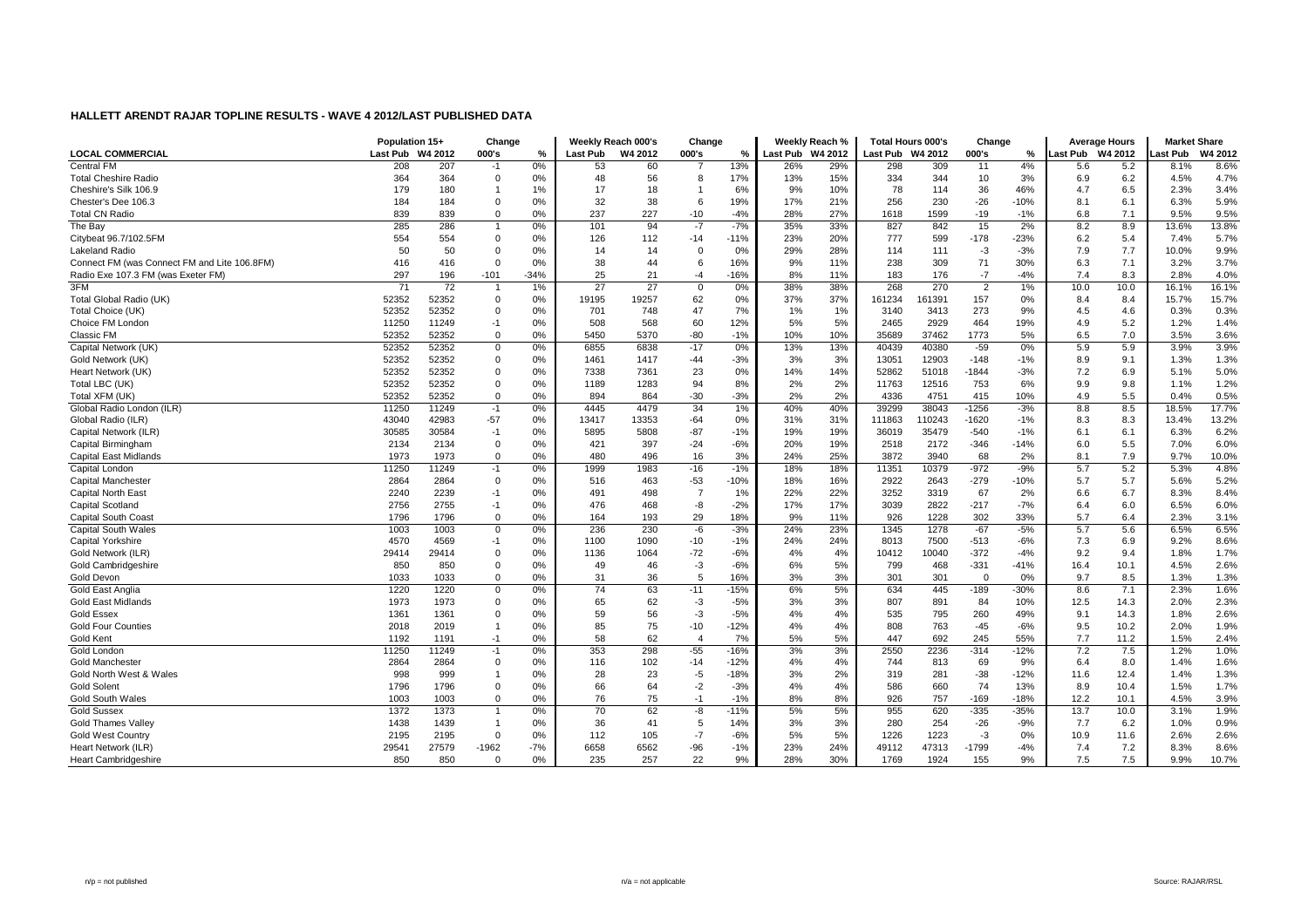|                                              | Population 15+   |       | Change      |        |                 | Weekly Reach 000's | Change         |        |                  | Weeklv Reach % | <b>Total Hours 000's</b> |         | Change         |        |                 | <b>Average Hours</b> | <b>Market Share</b> |         |
|----------------------------------------------|------------------|-------|-------------|--------|-----------------|--------------------|----------------|--------|------------------|----------------|--------------------------|---------|----------------|--------|-----------------|----------------------|---------------------|---------|
| <b>LOCAL COMMERCIAL</b>                      | Last Pub W4 2012 |       | 000's       | $\%$   | <b>Last Pub</b> | W4 2012            | 000's          | %      | Last Pub W4 2012 |                | Last Pub                 | W4 2012 | 000's          | %      | <b>Last Pub</b> | W4 2012              | ast Pub             | W4 2012 |
| <b>Central FM</b>                            | 208              | 207   | -1          | 0%     | 53              | 60                 |                | 13%    | 26%              | 29%            | 298                      | 309     | 11             | 4%     | 5.6             | 5.2                  | 8.1%                | 8.6%    |
| <b>Total Cheshire Radio</b>                  | 364              | 364   | $\Omega$    | 0%     | 48              | 56                 | 8              | 17%    | 13%              | 15%            | 334                      | 344     | 10             | 3%     | 6.9             | 6.2                  | 4.5%                | 4.7%    |
| Cheshire's Silk 106.9                        | 179              | 180   |             | 1%     | 17              | 18                 | -1             | 6%     | 9%               | 10%            | 78                       | 114     | 36             | 46%    | 4.7             | 6.5                  | 2.3%                | 3.4%    |
| Chester's Dee 106.3                          | 184              | 184   | 0           | 0%     | 32              | 38                 | 6              | 19%    | 17%              | 21%            | 256                      | 230     | $-26$          | $-10%$ | 8.1             | 6.1                  | 6.3%                | 5.9%    |
| <b>Total CN Radio</b>                        | 839              | 839   | $\Omega$    | 0%     | 237             | 227                | $-10$          | $-4%$  | 28%              | 27%            | 1618                     | 1599    | $-19$          | $-1%$  | 6.8             | 7.1                  | 9.5%                | 9.5%    |
| The Bay                                      | 285              | 286   |             | 0%     | 101             | 94                 | $-7$           | $-7%$  | 35%              | 33%            | 827                      | 842     | 15             | 2%     | 8.2             | 8.9                  | 13.6%               | 13.8%   |
| Citybeat 96.7/102.5FM                        | 554              | 554   | $\Omega$    | 0%     | 126             | 112                | $-14$          | $-11%$ | 23%              | 20%            | 777                      | 599     | $-178$         | -23%   | 6.2             | 5.4                  | 7.4%                | 5.7%    |
| Lakeland Radio                               | 50               | 50    | $\Omega$    | 0%     | 14              | 14                 | $\mathbf 0$    | 0%     | 29%              | 28%            | 114                      | 111     | $-3$           | $-3%$  | 7.9             | 7.7                  | 10.0%               | 9.9%    |
| Connect FM (was Connect FM and Lite 106.8FM) | 416              | 416   | $\mathbf 0$ | 0%     | 38              | 44                 | 6              | 16%    | 9%               | 11%            | 238                      | 309     | 71             | 30%    | 6.3             | 7.1                  | 3.2%                | 3.7%    |
| Radio Exe 107.3 FM (was Exeter FM)           | 297              | 196   | $-101$      | $-34%$ | 25              | 21                 | $-4$           | $-16%$ | 8%               | 11%            | 183                      | 176     | $-7$           | $-4%$  | 7.4             | 8.3                  | 2.8%                | 4.0%    |
| 3FM                                          | 71               | 72    |             | 1%     | 27              | 27                 | 0              | 0%     | 38%              | 38%            | 268                      | 270     | 2              | 1%     | 10.0            | 10.0                 | 16.1%               | 16.1%   |
| Total Global Radio (UK)                      | 52352            | 52352 | $\mathbf 0$ | 0%     | 19195           | 19257              | 62             | 0%     | 37%              | 37%            | 161234                   | 61391   | 157            | 0%     | 8.4             | 8.4                  | 15.7%               | 15.7%   |
| Total Choice (UK)                            | 52352            | 52352 | $\Omega$    | 0%     | 701             | 748                | 47             | 7%     | 1%               | 1%             | 3140                     | 3413    | 273            | 9%     | 4.5             | 4.6                  | 0.3%                | 0.3%    |
| Choice FM London                             | 11250            | 11249 | $-1$        | 0%     | 508             | 568                | 60             | 12%    | 5%               | 5%             | 2465                     | 2929    | 464            | 19%    | 4.9             | 5.2                  | 1.2%                | 1.4%    |
| Classic FM                                   | 52352            | 52352 | $\Omega$    | 0%     | 5450            | 5370               | $-80$          | $-1%$  | 10%              | 10%            | 35689                    | 37462   | 1773           | 5%     | 6.5             | 7.0                  | 3.5%                | 3.6%    |
| Capital Network (UK)                         | 52352            | 52352 | $\mathbf 0$ | 0%     | 6855            | 6838               | $-17$          | 0%     | 13%              | 13%            | 40439                    | 40380   | $-59$          | 0%     | 5.9             | 5.9                  | 3.9%                | 3.9%    |
| Gold Network (UK)                            | 52352            | 52352 | $\mathbf 0$ | 0%     | 1461            | 1417               | $-44$          | $-3%$  | 3%               | 3%             | 13051                    | 12903   | $-148$         | $-1%$  | 8.9             | 9.1                  | 1.3%                | 1.3%    |
| Heart Network (UK)                           | 52352            | 52352 | 0           | 0%     | 7338            | 7361               | 23             | 0%     | 14%              | 14%            | 52862                    | 51018   | $-1844$        | $-3%$  | 7.2             | 6.9                  | 5.1%                | 5.0%    |
| Total LBC (UK)                               | 52352            | 52352 | $\mathbf 0$ | 0%     | 1189            | 1283               | 94             | 8%     | 2%               | 2%             | 11763                    | 12516   | 753            | 6%     | 9.9             | 9.8                  | 1.1%                | 1.2%    |
| Total XFM (UK)                               | 52352            | 52352 | $\mathbf 0$ | 0%     | 894             | 864                | $-30$          | $-3%$  | 2%               | 2%             | 4336                     | 4751    | 415            | 10%    | 4.9             | 5.5                  | 0.4%                | 0.5%    |
| Global Radio London (ILR)                    | 11250            | 11249 | $-1$        | 0%     | 4445            | 4479               | 34             | 1%     | 40%              | 40%            | 39299                    | 38043   | $-1256$        | $-3%$  | 8.8             | 8.5                  | 18.5%               | 17.7%   |
| Global Radio (ILR)                           | 43040            | 42983 | -57         | 0%     | 13417           | 13353              | $-64$          | 0%     | 31%              | 31%            | 111863                   | 110243  | $-1620$        | $-1%$  | 8.3             | 8.3                  | 13.4%               | 13.2%   |
| Capital Network (ILR)                        | 30585            | 30584 | $-1$        | 0%     | 5895            | 5808               | $-87$          | $-1%$  | 19%              | 19%            | 36019                    | 35479   | $-540$         | $-1%$  | 6.1             | 6.1                  | 6.3%                | 6.2%    |
| Capital Birmingham                           | 2134             | 2134  | $\Omega$    | 0%     | 421             | 397                | $-24$          | $-6%$  | 20%              | 19%            | 2518                     | 2172    | $-346$         | $-14%$ | 6.0             | 5.5                  | 7.0%                | 6.0%    |
| <b>Capital East Midlands</b>                 | 1973             | 1973  | $\Omega$    | 0%     | 480             | 496                | 16             | 3%     | 24%              | 25%            | 3872                     | 3940    | 68             | 2%     | 8.1             | 7.9                  | 9.7%                | 10.0%   |
| Capital London                               | 11250            | 11249 | $-1$        | 0%     | 1999            | 1983               | $-16$          | $-1%$  | 18%              | 18%            | 11351                    | 10379   | $-972$         | $-9%$  | 5.7             | 5.2                  | 5.3%                | 4.8%    |
| Capital Manchester                           | 2864             | 2864  | $\Omega$    | 0%     | 516             | 463                | $-53$          | $-10%$ | 18%              | 16%            | 2922                     | 2643    | $-279$         | $-10%$ | 5.7             | 5.7                  | 5.6%                | 5.2%    |
| Capital North East                           | 2240             | 2239  | $-1$        | 0%     | 491             | 498                | $\overline{7}$ | 1%     | 22%              | 22%            | 3252                     | 3319    | 67             | 2%     | 6.6             | 6.7                  | 8.3%                | 8.4%    |
| Capital Scotland                             | 2756             | 2755  | -1          | 0%     | 476             | 468                | -8             | $-2%$  | 17%              | 17%            | 3039                     | 2822    | $-217$         | -7%    | 6.4             | 6.0                  | 6.5%                | 6.0%    |
| <b>Capital South Coast</b>                   | 1796             | 1796  | $\Omega$    | 0%     | 164             | 193                | 29             | 18%    | 9%               | 11%            | 926                      | 1228    | 302            | 33%    | 5.7             | 6.4                  | 2.3%                | 3.1%    |
| Capital South Wales                          | 1003             | 1003  | $\mathbf 0$ | 0%     | 236             | 230                | -6             | $-3%$  | 24%              | 23%            | 1345                     | 1278    | $-67$          | $-5%$  | 5.7             | 5.6                  | 6.5%                | 6.5%    |
| Capital Yorkshire                            | 4570             | 4569  | -1          | 0%     | 1100            | 1090               | $-10$          | $-1%$  | 24%              | 24%            | 8013                     | 7500    | $-513$         | $-6%$  | 7.3             | 6.9                  | 9.2%                | 8.6%    |
| Gold Network (ILR)                           | 29414            | 29414 | $\mathbf 0$ | 0%     | 1136            | 1064               | $-72$          | $-6%$  | 4%               | 4%             | 10412                    | 10040   | $-372$         | $-4%$  | 9.2             | 9.4                  | 1.8%                | 1.7%    |
| Gold Cambridgeshire                          | 850              | 850   | 0           | 0%     | 49              | 46                 | $-3$           | $-6%$  | 6%               | 5%             | 799                      | 468     | $-331$         | $-41%$ | 16.4            | 10.1                 | 4.5%                | 2.6%    |
| Gold Devon                                   | 1033             | 1033  | $\Omega$    | 0%     | 31              | 36                 | 5              | 16%    | 3%               | 3%             | 301                      | 301     | $\overline{0}$ | 0%     | 9.7             | 8.5                  | 1.3%                | 1.3%    |
| Gold East Anglia                             | 1220             | 1220  | $\Omega$    | 0%     | 74              | 63                 | $-11$          | -15%   | 6%               | 5%             | 634                      | 445     | $-189$         | -30%   | 8.6             | 7.1                  | 2.3%                | 1.6%    |
| <b>Gold East Midlands</b>                    | 1973             | 1973  | $\Omega$    | 0%     | 65              | 62                 | $-3$           | $-5%$  | 3%               | 3%             | 807                      | 891     | 84             | 10%    | 12.5            | 14.3                 | 2.0%                | 2.3%    |
| <b>Gold Essex</b>                            | 1361             | 1361  | $\Omega$    | 0%     | 59              | 56                 | $-3$           | $-5%$  | 4%               | 4%             | 535                      | 795     | 260            | 49%    | 9.1             | 14.3                 | 1.8%                | 2.6%    |
| <b>Gold Four Counties</b>                    | 2018             | 2019  |             | 0%     | 85              | 75                 | $-10$          | $-12%$ | 4%               | 4%             | 808                      | 763     | $-45$          | $-6%$  | 9.5             | 10.2                 | 2.0%                | 1.9%    |
| Gold Kent                                    | 1192             | 1191  | $-1$        | 0%     | 58              | 62                 | $\overline{4}$ | 7%     | 5%               | 5%             | 447                      | 692     | 245            | 55%    | 7.7             | 11.2                 | 1.5%                | 2.4%    |
| Gold London                                  | 11250            | 11249 | $-1$        | 0%     | 353             | 298                | $-55$          | $-16%$ | 3%               | 3%             | 2550                     | 2236    | $-314$         | $-12%$ | 7.2             | 7.5                  | 1.2%                | 1.0%    |
| <b>Gold Manchester</b>                       | 2864             | 2864  | $\mathbf 0$ | 0%     | 116             | 102                | $-14$          | $-12%$ | 4%               | 4%             | 744                      | 813     | 69             | 9%     | 6.4             | 8.0                  | 1.4%                | 1.6%    |
| Gold North West & Wales                      | 998              | 999   |             | 0%     | 28              | 23                 | $-5$           | $-18%$ | 3%               | 2%             | 319                      | 281     | $-38$          | $-12%$ | 11.6            | 12.4                 | 1.4%                | 1.3%    |
| <b>Gold Solent</b>                           | 1796             | 1796  | $\mathbf 0$ | 0%     | 66              | 64                 | $-2$           | $-3%$  | 4%               | 4%             | 586                      | 660     | 74             | 13%    | 8.9             | 10.4                 | 1.5%                | 1.7%    |
| <b>Gold South Wales</b>                      | 1003             | 1003  | $\Omega$    | 0%     | 76              | 75                 | $-1$           | $-1%$  | 8%               | 8%             | 926                      | 757     | $-169$         | $-18%$ | 12.2            | 10.1                 | 4.5%                | 3.9%    |
| <b>Gold Sussex</b>                           | 1372             | 1373  |             | 0%     | 70              | 62                 | -8             | $-11%$ | 5%               | 5%             | 955                      | 620     | $-335$         | $-35%$ | 13.7            | 10.0                 | 3.1%                | 1.9%    |
| <b>Gold Thames Valley</b>                    | 1438             | 1439  | $\mathbf 1$ | 0%     | 36              | 41                 | 5              | 14%    | 3%               | 3%             | 280                      | 254     | $-26$          | $-9%$  | 7.7             | 6.2                  | 1.0%                | 0.9%    |
| <b>Gold West Country</b>                     | 2195             | 2195  | $\Omega$    | 0%     | 112             | 105                | $-7$           | $-6%$  | 5%               | 5%             | 1226                     | 1223    | -3             | 0%     | 10.9            | 11.6                 | 2.6%                | 2.6%    |
| Heart Network (ILR)                          | 29541            | 27579 | $-1962$     | $-7%$  | 6658            | 6562               | $-96$          | $-1%$  | 23%              | 24%            | 49112                    | 47313   | $-1799$        | $-4%$  | 7.4             | 7.2                  | 8.3%                | 8.6%    |
| <b>Heart Cambridgeshire</b>                  | 850              | 850   | $\Omega$    | 0%     | 235             | 257                | 22             | 9%     | 28%              | 30%            | 1769                     | 1924    | 155            | 9%     | 7.5             | 7.5                  | 9.9%                | 10.7%   |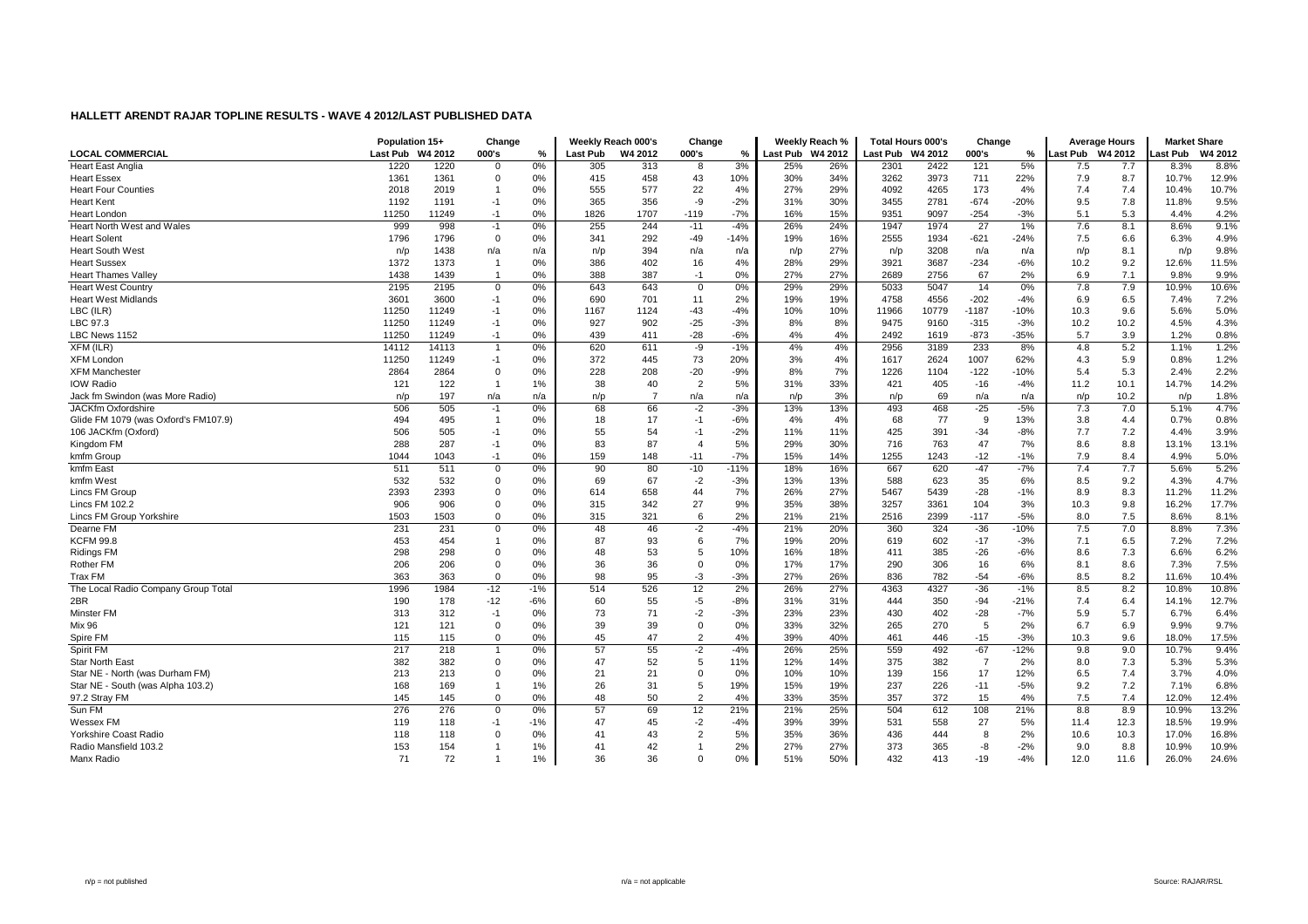|                                      | Population 15+  |         | Change         |       |                 | Weekly Reach 000's | Change         |        |                  | Weekly Reach % |                  | <b>Total Hours 000's</b> | Change         |        |                  | <b>Average Hours</b> | <b>Market Share</b> |         |
|--------------------------------------|-----------------|---------|----------------|-------|-----------------|--------------------|----------------|--------|------------------|----------------|------------------|--------------------------|----------------|--------|------------------|----------------------|---------------------|---------|
| <b>LOCAL COMMERCIAL</b>              | <b>Last Pub</b> | W4 2012 | 000's          | %     | <b>Last Pub</b> | W4 2012            | 000's          | %      | Last Pub W4 2012 |                | Last Pub W4 2012 |                          | 000's          | ℅      | Last Pub W4 2012 |                      | ast Pub             | W4 2012 |
| Heart East Anglia                    | 1220            | 1220    | 0              | 0%    | 305             | 313                | 8              | 3%     | 25%              | 26%            | 2301             | 2422                     | 121            | 5%     | 7.5              | 7.7                  | 8.3%                | 8.8%    |
| <b>Heart Essex</b>                   | 1361            | 1361    | $\mathbf 0$    | 0%    | 415             | 458                | 43             | 10%    | 30%              | 34%            | 3262             | 3973                     | 711            | 22%    | 7.9              | 8.7                  | 10.7%               | 12.9%   |
| <b>Heart Four Counties</b>           | 2018            | 2019    |                | 0%    | 555             | 577                | 22             | 4%     | 27%              | 29%            | 4092             | 4265                     | 173            | 4%     | 7.4              | 7.4                  | 10.4%               | 10.7%   |
| <b>Heart Kent</b>                    | 1192            | 1191    | $-1$           | 0%    | 365             | 356                | $-9$           | $-2%$  | 31%              | 30%            | 3455             | 2781                     | $-674$         | $-20%$ | 9.5              | 7.8                  | 11.8%               | 9.5%    |
| <b>Heart London</b>                  | 11250           | 11249   | $-1$           | 0%    | 1826            | 1707               | $-119$         | $-7%$  | 16%              | 15%            | 9351             | 9097                     | $-254$         | $-3%$  | 5.1              | 5.3                  | 4.4%                | 4.2%    |
| Heart North West and Wales           | 999             | 998     | $-1$           | 0%    | 255             | 244                | $-11$          | $-4%$  | 26%              | 24%            | 1947             | 1974                     | 27             | $1\%$  | 7.6              | 8.1                  | 8.6%                | 9.1%    |
| <b>Heart Solent</b>                  | 1796            | 1796    | $\Omega$       | 0%    | 341             | 292                | $-49$          | $-14%$ | 19%              | 16%            | 2555             | 1934                     | $-621$         | $-24%$ | 7.5              | 6.6                  | 6.3%                | 4.9%    |
| <b>Heart South West</b>              | n/p             | 1438    | n/a            | n/a   | n/p             | 394                | n/a            | n/a    | n/p              | 27%            | n/p              | 3208                     | n/a            | n/a    | n/p              | 8.1                  | n/p                 | 9.8%    |
| <b>Heart Sussex</b>                  | 1372            | 1373    |                | 0%    | 386             | 402                | 16             | 4%     | 28%              | 29%            | 3921             | 3687                     | $-234$         | $-6%$  | 10.2             | 9.2                  | 12.6%               | 11.5%   |
| <b>Heart Thames Valley</b>           | 1438            | 1439    | $\overline{1}$ | 0%    | 388             | 387                | $-1$           | 0%     | 27%              | 27%            | 2689             | 2756                     | 67             | 2%     | 6.9              | 7.1                  | 9.8%                | 9.9%    |
| <b>Heart West Country</b>            | 2195            | 2195    | $\mathbf 0$    | 0%    | 643             | 643                | $\mathbf 0$    | 0%     | 29%              | 29%            | 5033             | 5047                     | 14             | 0%     | 7.8              | 7.9                  | 10.9%               | 10.6%   |
| <b>Heart West Midlands</b>           | 3601            | 3600    | $-1$           | 0%    | 690             | 701                | 11             | 2%     | 19%              | 19%            | 4758             | 4556                     | $-202$         | $-4%$  | 6.9              | 6.5                  | 7.4%                | 7.2%    |
| LBC (ILR)                            | 11250           | 11249   | $-1$           | 0%    | 1167            | 1124               | $-43$          | $-4%$  | 10%              | 10%            | 11966            | 10779                    | $-1187$        | $-10%$ | 10.3             | 9.6                  | 5.6%                | 5.0%    |
| LBC 97.3                             | 11250           | 11249   | $-1$           | 0%    | 927             | 902                | $-25$          | $-3%$  | 8%               | 8%             | 9475             | 9160                     | $-315$         | $-3%$  | 10.2             | 10.2                 | 4.5%                | 4.3%    |
| LBC News 1152                        | 11250           | 11249   | $-1$           | 0%    | 439             | 411                | $-28$          | $-6%$  | 4%               | 4%             | 2492             | 1619                     | $-873$         | $-35%$ | 5.7              | 3.9                  | 1.2%                | 0.8%    |
| $XFM$ (ILR)                          | 14112           | 14113   | $\overline{1}$ | 0%    | 620             | 611                | $-9$           | $-1%$  | 4%               | 4%             | 2956             | 3189                     | 233            | 8%     | 4.8              | 5.2                  | 1.1%                | 1.2%    |
| <b>XFM London</b>                    | 11250           | 11249   | -1             | 0%    | 372             | 445                | 73             | 20%    | 3%               | 4%             | 1617             | 2624                     | 1007           | 62%    | 4.3              | 5.9                  | 0.8%                | 1.2%    |
| <b>XFM Manchester</b>                | 2864            | 2864    | $\Omega$       | 0%    | 228             | 208                | $-20$          | $-9%$  | 8%               | 7%             | 1226             | 1104                     | $-122$         | $-10%$ | 5.4              | 5.3                  | 2.4%                | 2.2%    |
| <b>IOW Radio</b>                     | 121             | 122     | $\overline{1}$ | 1%    | 38              | 40                 | $\overline{2}$ | 5%     | 31%              | 33%            | 421              | 405                      | $-16$          | $-4%$  | 11.2             | 10.1                 | 14.7%               | 14.2%   |
| Jack fm Swindon (was More Radio)     | n/p             | 197     | n/a            | n/a   | n/p             | $\overline{7}$     | n/a            | n/a    | n/p              | 3%             | n/p              | 69                       | n/a            | n/a    | n/p              | 10.2                 | n/p                 | 1.8%    |
| JACKfm Oxfordshire                   | 506             | 505     | $-1$           | 0%    | 68              | 66                 | $-2$           | $-3%$  | 13%              | 13%            | 493              | 468                      | $-25$          | $-5%$  | 7.3              | 7.0                  | 5.1%                | 4.7%    |
| Glide FM 1079 (was Oxford's FM107.9) | 494             | 495     | $\overline{1}$ | 0%    | 18              | 17                 | $-1$           | $-6%$  | 4%               | 4%             | 68               | 77                       | 9              | 13%    | 3.8              | 4.4                  | 0.7%                | 0.8%    |
| 106 JACKfm (Oxford)                  | 506             | 505     | $-1$           | 0%    | 55              | 54                 | $-1$           | $-2%$  | 11%              | 11%            | 425              | 391                      | $-34$          | $-8%$  | 7.7              | 7.2                  | 4.4%                | 3.9%    |
| Kingdom FM                           | 288             | 287     | $-1$           | 0%    | 83              | 87                 | $\overline{4}$ | 5%     | 29%              | 30%            | 716              | 763                      | 47             | 7%     | 8.6              | 8.8                  | 13.1%               | 13.1%   |
| kmfm Group                           | 1044            | 1043    | $-1$           | 0%    | 159             | 148                | $-11$          | $-7%$  | 15%              | 14%            | 1255             | 1243                     | $-12$          | $-1%$  | 7.9              | 8.4                  | 4.9%                | 5.0%    |
| kmfm East                            | 511             | 511     | $\mathbf 0$    | 0%    | 90              | 80                 | $-10$          | $-11%$ | 18%              | 16%            | 667              | 620                      | $-47$          | $-7%$  | 7.4              | 7.7                  | 5.6%                | 5.2%    |
| kmfm West                            | 532             | 532     | $\Omega$       | 0%    | 69              | 67                 | $-2$           | $-3%$  | 13%              | 13%            | 588              | 623                      | 35             | 6%     | 8.5              | 9.2                  | 4.3%                | 4.7%    |
| Lincs FM Group                       | 2393            | 2393    | $\Omega$       | 0%    | 614             | 658                | 44             | 7%     | 26%              | 27%            | 5467             | 5439                     | $-28$          | $-1%$  | 8.9              | 8.3                  | 11.2%               | 11.2%   |
| <b>Lincs FM 102.2</b>                | 906             | 906     | $\Omega$       | 0%    | 315             | 342                | 27             | 9%     | 35%              | 38%            | 3257             | 3361                     | 104            | 3%     | 10.3             | 9.8                  | 16.2%               | 17.7%   |
| Lincs FM Group Yorkshire             | 1503            | 1503    | $\Omega$       | 0%    | 315             | 321                | 6              | 2%     | 21%              | 21%            | 2516             | 2399                     | $-117$         | $-5%$  | 8.0              | 7.5                  | 8.6%                | 8.1%    |
| Dearne FM                            | 231             | 231     | $\mathbf 0$    | 0%    | 48              | 46                 | $-2$           | $-4%$  | 21%              | 20%            | 360              | 324                      | $-36$          | $-10%$ | 7.5              | 7.0                  | 8.8%                | 7.3%    |
| <b>KCFM 99.8</b>                     | 453             | 454     |                | 0%    | 87              | 93                 | 6              | 7%     | 19%              | 20%            | 619              | 602                      | $-17$          | $-3%$  | 7.1              | 6.5                  | 7.2%                | 7.2%    |
| <b>Ridings FM</b>                    | 298             | 298     | $\Omega$       | 0%    | 48              | 53                 | 5              | 10%    | 16%              | 18%            | 411              | 385                      | $-26$          | $-6%$  | 8.6              | 7.3                  | 6.6%                | 6.2%    |
| Rother FM                            | 206             | 206     | $\mathbf 0$    | 0%    | 36              | 36                 | $\Omega$       | 0%     | 17%              | 17%            | 290              | 306                      | 16             | 6%     | 8.1              | 8.6                  | 7.3%                | 7.5%    |
| <b>Trax FM</b>                       | 363             | 363     | $\Omega$       | 0%    | 98              | 95                 | $-3$           | $-3%$  | 27%              | 26%            | 836              | 782                      | $-54$          | $-6%$  | 8.5              | 8.2                  | 11.6%               | 10.4%   |
| The Local Radio Company Group Total  | 1996            | 1984    | $-12$          | $-1%$ | 514             | 526                | 12             | 2%     | 26%              | 27%            | 4363             | 4327                     | $-36$          | $-1%$  | 8.5              | 8.2                  | 10.8%               | 10.8%   |
| 2BR                                  | 190             | 178     | $-12$          | $-6%$ | 60              | 55                 | -5             | $-8%$  | 31%              | 31%            | 444              | 350                      | $-94$          | $-21%$ | 7.4              | 6.4                  | 14.1%               | 12.7%   |
| <b>Minster FM</b>                    | 313             | 312     | -1             | 0%    | 73              | 71                 | $-2$           | $-3%$  | 23%              | 23%            | 430              | 402                      | $-28$          | $-7%$  | 5.9              | 5.7                  | 6.7%                | 6.4%    |
| <b>Mix 96</b>                        | 121             | 121     | $\Omega$       | 0%    | 39              | 39                 | $\Omega$       | 0%     | 33%              | 32%            | 265              | 270                      | 5              | 2%     | 6.7              | 6.9                  | 9.9%                | 9.7%    |
| Spire FM                             | 115             | 115     | $\Omega$       | 0%    | 45              | 47                 | $\overline{2}$ | 4%     | 39%              | 40%            | 461              | 446                      | $-15$          | $-3%$  | 10.3             | 9.6                  | 18.0%               | 17.5%   |
| Spirit FM                            | 217             | 218     |                | 0%    | 57              | 55                 | $-2$           | $-4%$  | 26%              | 25%            | 559              | 492                      | $-67$          | $-12%$ | 9.8              | 9.0                  | 10.7%               | 9.4%    |
| <b>Star North East</b>               | 382             | 382     | $\mathbf 0$    | 0%    | 47              | 52                 | 5              | 11%    | 12%              | 14%            | 375              | 382                      | $\overline{7}$ | 2%     | 8.0              | 7.3                  | 5.3%                | 5.3%    |
| Star NE - North (was Durham FM)      | 213             | 213     | $\Omega$       | 0%    | 21              | 21                 | $\Omega$       | 0%     | 10%              | 10%            | 139              | 156                      | 17             | 12%    | 6.5              | 7.4                  | 3.7%                | 4.0%    |
| Star NE - South (was Alpha 103.2)    | 168             | 169     |                | 1%    | 26              | 31                 | 5              | 19%    | 15%              | 19%            | 237              | 226                      | $-11$          | $-5%$  | 9.2              | 7.2                  | 7.1%                | 6.8%    |
| 97.2 Stray FM                        | 145             | 145     | $\Omega$       | 0%    | 48              | 50                 | $\overline{2}$ | 4%     | 33%              | 35%            | 357              | 372                      | 15             | 4%     | 7.5              | 7.4                  | 12.0%               | 12.4%   |
| Sun FM                               | 276             | 276     | $\mathbf 0$    | 0%    | 57              | 69                 | 12             | 21%    | 21%              | 25%            | 504              | 612                      | 108            | 21%    | 8.8              | 8.9                  | 10.9%               | 13.2%   |
| Wessex FM                            | 119             | 118     | -1             | $-1%$ | 47              | 45                 | $-2$           | $-4%$  | 39%              | 39%            | 531              | 558                      | 27             | 5%     | 11.4             | 12.3                 | 18.5%               | 19.9%   |
| Yorkshire Coast Radio                | 118             | 118     | $\Omega$       | 0%    | 41              | 43                 | $\overline{2}$ | 5%     | 35%              | 36%            | 436              | 444                      | 8              | 2%     | 10.6             | 10.3                 | 17.0%               | 16.8%   |
| Radio Mansfield 103.2                | 153             | 154     |                | 1%    | 41              | 42                 | $\overline{1}$ | 2%     | 27%              | 27%            | 373              | 365                      | -8             | $-2%$  | 9.0              | 8.8                  | 10.9%               | 10.9%   |
| Manx Radio                           | 71              | 72      |                | 1%    | 36              | 36                 | $\Omega$       | 0%     | 51%              | 50%            | 432              | 413                      | $-19$          | $-4%$  | 12.0             | 11.6                 | 26.0%               | 24.6%   |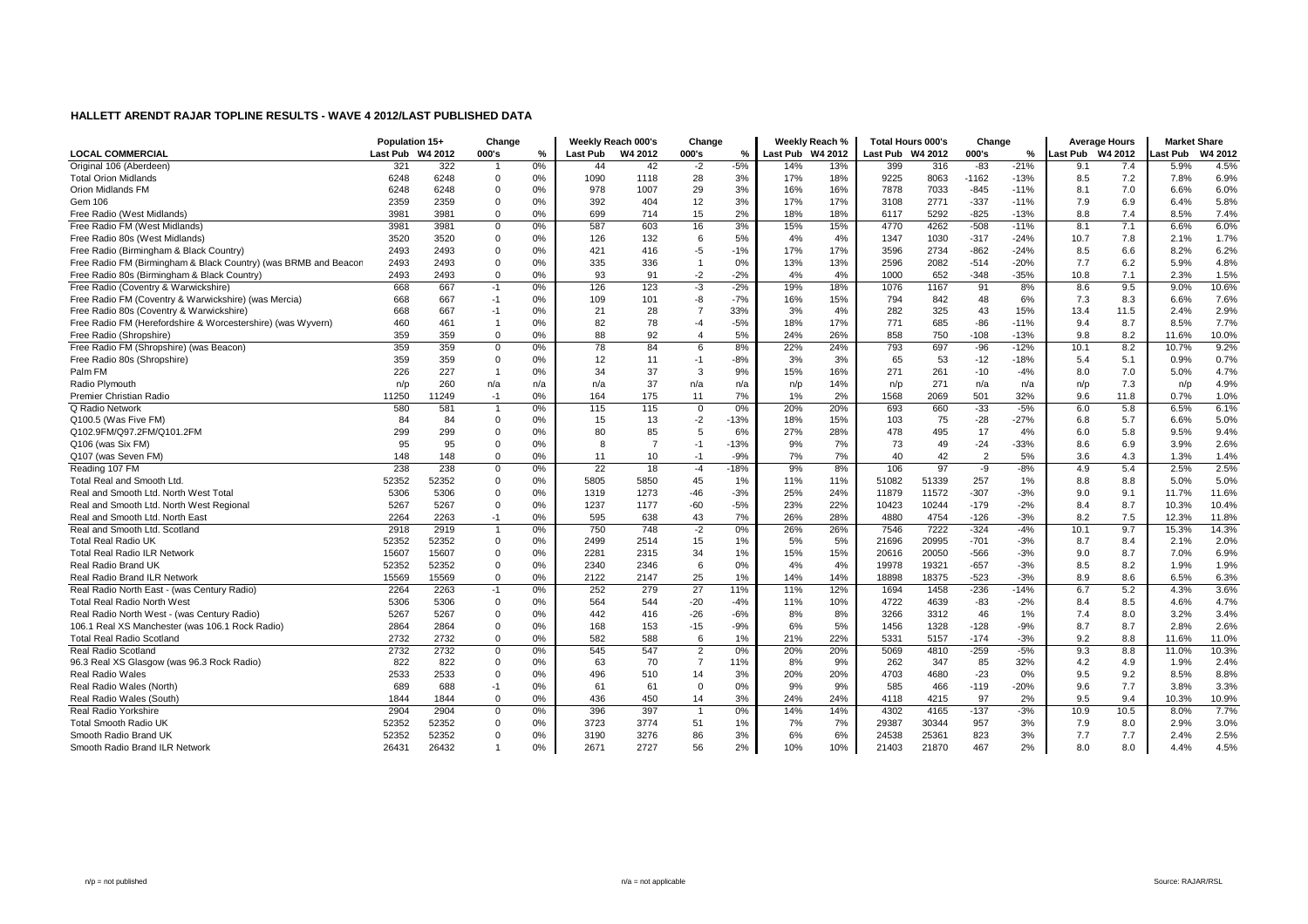|                                                                 | Population 15+   |       | Change         |     |                 | Weekly Reach 000's | Change         |        | Weekly Reach %   |     | <b>Total Hours 000's</b> |       | Change         |        | <b>Average Hours</b> |      | <b>Market Share</b> |         |
|-----------------------------------------------------------------|------------------|-------|----------------|-----|-----------------|--------------------|----------------|--------|------------------|-----|--------------------------|-------|----------------|--------|----------------------|------|---------------------|---------|
| <b>LOCAL COMMERCIAL</b>                                         | Last Pub W4 2012 |       | 000's          | %   | <b>Last Pub</b> | W4 2012            | 000's          | %      | Last Pub W4 2012 |     | Last Pub W4 2012         |       | 000's          | %      | Last Pub W4 2012     |      | ast Pub             | W4 2012 |
| Original 106 (Aberdeen)                                         | 321              | 322   |                | 0%  | 44              | 42                 | $-2$           | $-5%$  | 14%              | 13% | 399                      | 316   | -83            | $-21%$ | 9.1                  | 7.4  | 5.9%                | 4.5%    |
| <b>Total Orion Midlands</b>                                     | 6248             | 6248  | $\Omega$       | 0%  | 1090            | 1118               | 28             | 3%     | 17%              | 18% | 9225                     | 8063  | $-1162$        | $-13%$ | 8.5                  | 7.2  | 7.8%                | 6.9%    |
| Orion Midlands FM                                               | 6248             | 6248  | $\Omega$       | 0%  | 978             | 1007               | 29             | 3%     | 16%              | 16% | 7878                     | 7033  | $-845$         | $-11%$ | 8.1                  | 7.0  | 6.6%                | 6.0%    |
| Gem 106                                                         | 2359             | 2359  | $\Omega$       | 0%  | 392             | 404                | 12             | 3%     | 17%              | 17% | 3108                     | 2771  | $-337$         | $-11%$ | 7.9                  | 6.9  | 6.4%                | 5.8%    |
| Free Radio (West Midlands)                                      | 3981             | 3981  | $\Omega$       | 0%  | 699             | 714                | 15             | 2%     | 18%              | 18% | 6117                     | 5292  | $-825$         | $-13%$ | 8.8                  | 7.4  | 8.5%                | 7.4%    |
| Free Radio FM (West Midlands)                                   | 3981             | 3981  | $\mathbf 0$    | 0%  | 587             | 603                | 16             | 3%     | 15%              | 15% | 4770                     | 4262  | $-508$         | $-11%$ | 8.1                  | 7.1  | 6.6%                | 6.0%    |
| Free Radio 80s (West Midlands)                                  | 3520             | 3520  | $\Omega$       | 0%  | 126             | 132                | 6              | 5%     | 4%               | 4%  | 1347                     | 1030  | $-317$         | $-24%$ | 10.7                 | 7.8  | 2.1%                | 1.7%    |
| Free Radio (Birmingham & Black Country)                         | 2493             | 2493  | $\Omega$       | 0%  | 421             | 416                | $-5$           | $-1%$  | 17%              | 17% | 3596                     | 2734  | $-862$         | $-24%$ | 8.5                  | 6.6  | 8.2%                | 6.2%    |
| Free Radio FM (Birmingham & Black Country) (was BRMB and Beacon | 2493             | 2493  | $\Omega$       | 0%  | 335             | 336                | $\overline{1}$ | 0%     | 13%              | 13% | 2596                     | 2082  | $-514$         | $-20%$ | 7.7                  | 6.2  | 5.9%                | 4.8%    |
| Free Radio 80s (Birmingham & Black Country)                     | 2493             | 2493  | $\mathbf 0$    | 0%  | 93              | 91                 | $-2$           | $-2%$  | 4%               | 4%  | 1000                     | 652   | $-348$         | $-35%$ | 10.8                 | 7.1  | 2.3%                | 1.5%    |
| Free Radio (Coventry & Warwickshire)                            | 668              | 667   | $-1$           | 0%  | 126             | 123                | $-3$           | $-2%$  | 19%              | 18% | 1076                     | 1167  | 91             | 8%     | 8.6                  | 9.5  | 9.0%                | 10.6%   |
| Free Radio FM (Coventry & Warwickshire) (was Mercia)            | 668              | 667   | $-1$           | 0%  | 109             | 101                | -8             | $-7%$  | 16%              | 15% | 794                      | 842   | 48             | 6%     | 7.3                  | 8.3  | 6.6%                | 7.6%    |
| Free Radio 80s (Coventry & Warwickshire)                        | 668              | 667   | $-1$           | 0%  | 21              | 28                 | $\overline{7}$ | 33%    | 3%               | 4%  | 282                      | 325   | 43             | 15%    | 13.4                 | 11.5 | 2.4%                | 2.9%    |
| Free Radio FM (Herefordshire & Worcestershire) (was Wyvern)     | 460              | 461   | $\overline{1}$ | 0%  | 82              | 78                 | $-4$           | $-5%$  | 18%              | 17% | 771                      | 685   | $-86$          | $-11%$ | 9.4                  | 8.7  | 8.5%                | 7.7%    |
| Free Radio (Shropshire)                                         | 359              | 359   | $\mathbf 0$    | 0%  | 88              | 92                 | $\overline{4}$ | 5%     | 24%              | 26% | 858                      | 750   | $-108$         | $-13%$ | 9.8                  | 8.2  | 11.6%               | 10.0%   |
| Free Radio FM (Shropshire) (was Beacon)                         | 359              | 359   | $\Omega$       | 0%  | 78              | 84                 | 6              | 8%     | 22%              | 24% | 793                      | 697   | $-96$          | $-12%$ | 10.1                 | 8.2  | 10.7%               | 9.2%    |
| Free Radio 80s (Shropshire)                                     | 359              | 359   | $\Omega$       | 0%  | 12              | 11                 | $-1$           | $-8%$  | 3%               | 3%  | 65                       | 53    | $-12$          | $-18%$ | 5.4                  | 5.1  | 0.9%                | 0.7%    |
| Palm FM                                                         | 226              | 227   |                | 0%  | 34              | 37                 | 3              | 9%     | 15%              | 16% | 271                      | 261   | $-10$          | $-4%$  | 8.0                  | 7.0  | 5.0%                | 4.7%    |
| Radio Plymouth                                                  | n/p              | 260   | n/a            | n/a | n/a             | 37                 | n/a            | n/a    | n/p              | 14% | n/p                      | 271   | n/a            | n/a    | n/p                  | 7.3  | n/p                 | 4.9%    |
| Premier Christian Radio                                         | 11250            | 11249 | $-1$           | 0%  | 164             | 175                | 11             | 7%     | 1%               | 2%  | 1568                     | 2069  | 501            | 32%    | 9.6                  | 11.8 | 0.7%                | 1.0%    |
| Q Radio Network                                                 | 580              | 581   |                | 0%  | 115             | 115                | $\mathbf 0$    | 0%     | 20%              | 20% | 693                      | 660   | $-33$          | $-5%$  | 6.0                  | 5.8  | 6.5%                | 6.1%    |
| Q100.5 (Was Five FM)                                            | 84               | 84    | $\mathbf 0$    | 0%  | 15              | 13                 | $-2$           | $-13%$ | 18%              | 15% | 103                      | 75    | $-28$          | $-27%$ | 6.8                  | 5.7  | 6.6%                | 5.0%    |
| Q102.9FM/Q97.2FM/Q101.2FM                                       | 299              | 299   | $\Omega$       | 0%  | 80              | 85                 | 5              | 6%     | 27%              | 28% | 478                      | 495   | 17             | 4%     | 6.0                  | 5.8  | 9.5%                | 9.4%    |
| Q106 (was Six FM)                                               | 95               | 95    | $\Omega$       | 0%  | 8               | $\overline{7}$     | $-1$           | $-13%$ | 9%               | 7%  | 73                       | 49    | $-24$          | $-33%$ | 8.6                  | 6.9  | 3.9%                | 2.6%    |
| Q107 (was Seven FM)                                             | 148              | 148   | $\mathbf 0$    | 0%  | 11              | 10                 | $-1$           | $-9%$  | 7%               | 7%  | 40                       | 42    | $\overline{2}$ | 5%     | 3.6                  | 4.3  | 1.3%                | 1.4%    |
| Reading 107 FM                                                  | 238              | 238   | 0              | 0%  | 22              | 18                 | $-4$           | $-18%$ | 9%               | 8%  | 106                      | 97    | -9             | $-8%$  | 4.9                  | 5.4  | 2.5%                | 2.5%    |
| Total Real and Smooth Ltd.                                      | 52352            | 52352 | $\Omega$       | 0%  | 5805            | 5850               | 45             | 1%     | 11%              | 11% | 51082                    | 51339 | 257            | 1%     | 8.8                  | 8.8  | 5.0%                | 5.0%    |
| Real and Smooth Ltd. North West Total                           | 5306             | 5306  | $\Omega$       | 0%  | 1319            | 1273               | -46            | $-3%$  | 25%              | 24% | 11879                    | 11572 | $-307$         | $-3%$  | 9.0                  | 9.1  | 11.7%               | 11.6%   |
| Real and Smooth Ltd. North West Regional                        | 5267             | 5267  | $\Omega$       | 0%  | 1237            | 1177               | $-60$          | $-5%$  | 23%              | 22% | 10423                    | 10244 | $-179$         | $-2%$  | 8.4                  | 8.7  | 10.3%               | 10.4%   |
| Real and Smooth Ltd. North East                                 | 2264             | 2263  | $-1$           | 0%  | 595             | 638                | 43             | 7%     | 26%              | 28% | 4880                     | 4754  | $-126$         | $-3%$  | 8.2                  | 7.5  | 12.3%               | 11.8%   |
| Real and Smooth Ltd. Scotland                                   | 2918             | 2919  | $\mathbf{1}$   | 0%  | 750             | 748                | $-2$           | 0%     | 26%              | 26% | 7546                     | 7222  | $-324$         | $-4%$  | 10.1                 | 9.7  | 15.3%               | 14.3%   |
| <b>Total Real Radio UK</b>                                      | 52352            | 52352 | $\Omega$       | 0%  | 2499            | 2514               | 15             | 1%     | 5%               | 5%  | 21696                    | 20995 | $-701$         | $-3%$  | 8.7                  | 8.4  | 2.1%                | 2.0%    |
| <b>Total Real Radio ILR Network</b>                             | 15607            | 15607 | $\Omega$       | 0%  | 2281            | 2315               | 34             | 1%     | 15%              | 15% | 20616                    | 20050 | $-566$         | $-3%$  | 9.0                  | 8.7  | 7.0%                | 6.9%    |
| Real Radio Brand UK                                             | 52352            | 52352 | $\Omega$       | 0%  | 2340            | 2346               | 6              | 0%     | 4%               | 4%  | 19978                    | 19321 | $-657$         | $-3%$  | 8.5                  | 8.2  | 1.9%                | 1.9%    |
| Real Radio Brand ILR Network                                    | 15569            | 15569 | $\mathbf 0$    | 0%  | 2122            | 2147               | 25             | 1%     | 14%              | 14% | 18898                    | 18375 | $-523$         | $-3%$  | 8.9                  | 8.6  | 6.5%                | 6.3%    |
| Real Radio North East - (was Century Radio)                     | 2264             | 2263  | $-1$           | 0%  | 252             | 279                | 27             | 11%    | 11%              | 12% | 1694                     | 1458  | $-236$         | $-14%$ | 6.7                  | 5.2  | 4.3%                | 3.6%    |
| <b>Total Real Radio North West</b>                              | 5306             | 5306  | $\mathbf 0$    | 0%  | 564             | 544                | $-20$          | $-4%$  | 11%              | 10% | 4722                     | 4639  | $-83$          | $-2%$  | 8.4                  | 8.5  | 4.6%                | 4.7%    |
| Real Radio North West - (was Century Radio)                     | 5267             | 5267  | $\mathbf 0$    | 0%  | 442             | 416                | $-26$          | $-6%$  | 8%               | 8%  | 3266                     | 3312  | 46             | 1%     | 7.4                  | 8.0  | 3.2%                | 3.4%    |
| 106.1 Real XS Manchester (was 106.1 Rock Radio)                 | 2864             | 2864  | $\mathbf 0$    | 0%  | 168             | 153                | $-15$          | $-9%$  | 6%               | 5%  | 1456                     | 1328  | $-128$         | $-9%$  | 8.7                  | 8.7  | 2.8%                | 2.6%    |
| <b>Total Real Radio Scotland</b>                                | 2732             | 2732  | $\mathbf 0$    | 0%  | 582             | 588                | 6              | 1%     | 21%              | 22% | 5331                     | 5157  | $-174$         | $-3%$  | 9.2                  | 8.8  | 11.6%               | 11.0%   |
| Real Radio Scotland                                             | 2732             | 2732  | $\mathbf 0$    | 0%  | 545             | 547                | $\overline{2}$ | 0%     | 20%              | 20% | 5069                     | 4810  | $-259$         | $-5%$  | 9.3                  | 8.8  | 11.0%               | 10.3%   |
| 96.3 Real XS Glasgow (was 96.3 Rock Radio)                      | 822              | 822   | $\Omega$       | 0%  | 63              | 70                 | $\overline{7}$ | 11%    | 8%               | 9%  | 262                      | 347   | 85             | 32%    | 4.2                  | 4.9  | 1.9%                | 2.4%    |
| <b>Real Radio Wales</b>                                         | 2533             | 2533  | $\Omega$       | 0%  | 496             | 510                | 14             | 3%     | 20%              | 20% | 4703                     | 4680  | $-23$          | 0%     | 9.5                  | 9.2  | 8.5%                | 8.8%    |
| Real Radio Wales (North)                                        | 689              | 688   | -1             | 0%  | 61              | 61                 | $\Omega$       | 0%     | 9%               | 9%  | 585                      | 466   | $-119$         | $-20%$ | 9.6                  | 7.7  | 3.8%                | 3.3%    |
| Real Radio Wales (South)                                        | 1844             | 1844  | $\mathbf 0$    | 0%  | 436             | 450                | 14             | 3%     | 24%              | 24% | 4118                     | 4215  | 97             | 2%     | 9.5                  | 9.4  | 10.3%               | 10.9%   |
| Real Radio Yorkshire                                            | 2904             | 2904  | $\Omega$       | 0%  | 396             | 397                | $\overline{1}$ | 0%     | 14%              | 14% | 4302                     | 4165  | $-137$         | $-3%$  | 10.9                 | 10.5 | 8.0%                | 7.7%    |
| <b>Total Smooth Radio UK</b>                                    | 52352            | 52352 | $\mathbf 0$    | 0%  | 3723            | 3774               | 51             | 1%     | 7%               | 7%  | 29387                    | 30344 | 957            | 3%     | 7.9                  | 8.0  | 2.9%                | 3.0%    |
| Smooth Radio Brand UK                                           | 52352            | 52352 | $\mathbf 0$    | 0%  | 3190            | 3276               | 86             | 3%     | 6%               | 6%  | 24538                    | 25361 | 823            | 3%     | 7.7                  | 7.7  | 2.4%                | 2.5%    |
| Smooth Radio Brand ILR Network                                  | 26431            | 26432 | $\overline{1}$ | 0%  | 2671            | 2727               | 56             | 2%     | 10%              | 10% | 21403                    | 21870 | 467            | 2%     | 8.0                  | 8.0  | 4.4%                | 4.5%    |
|                                                                 |                  |       |                |     |                 |                    |                |        |                  |     |                          |       |                |        |                      |      |                     |         |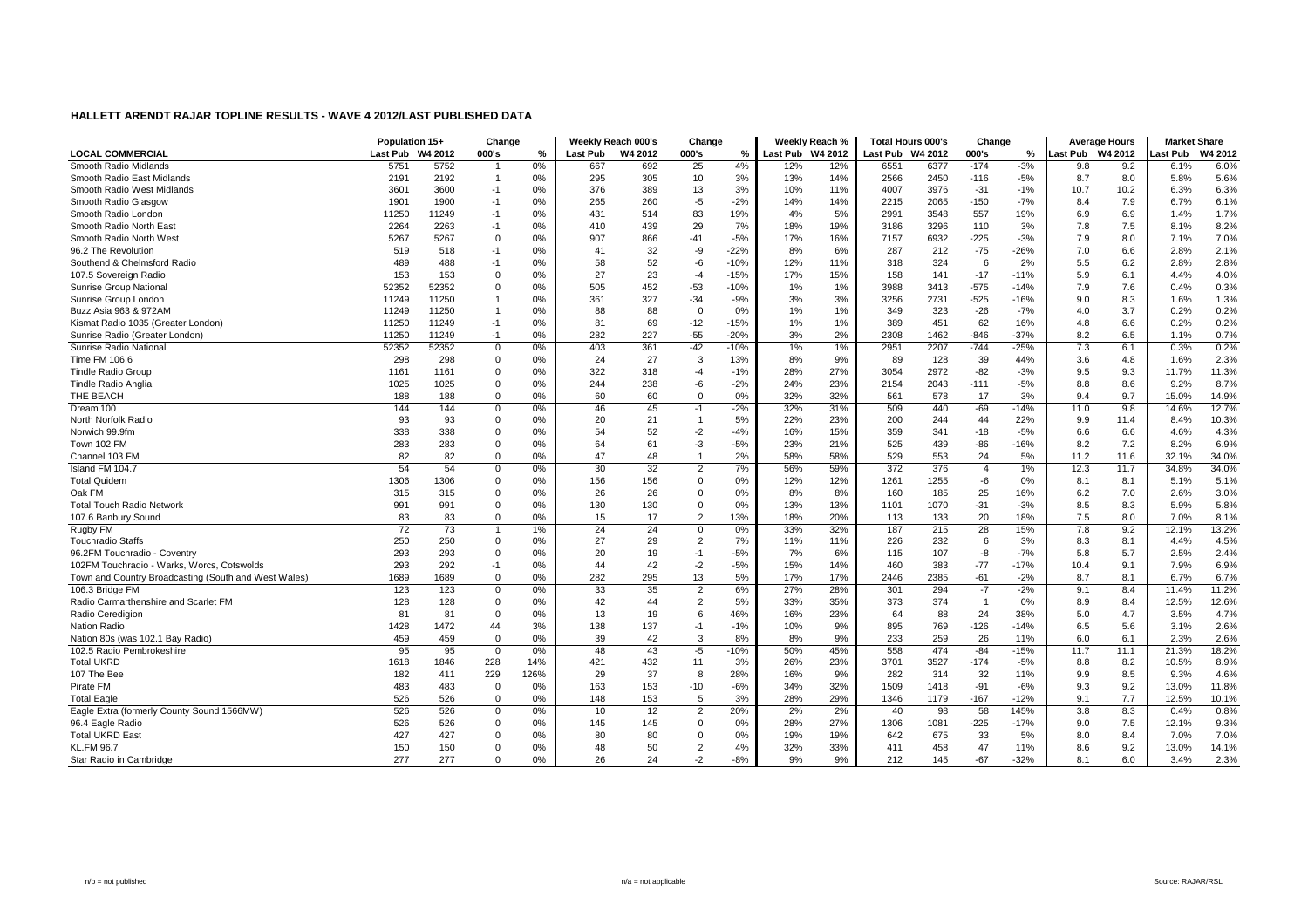|                                                      | Population 15+  |         | Change      |      |          | Weekly Reach 000's | Change         |        |                  | Weekly Reach % | <b>Total Hours 000's</b> |      | Change         |        |                  | <b>Average Hours</b> | <b>Market Share</b> |         |
|------------------------------------------------------|-----------------|---------|-------------|------|----------|--------------------|----------------|--------|------------------|----------------|--------------------------|------|----------------|--------|------------------|----------------------|---------------------|---------|
| <b>LOCAL COMMERCIAL</b>                              | Last Pub        | W4 2012 | 000's       | %    | Last Pub | W4 2012            | 000's          | %      | Last Pub W4 2012 |                | Last Pub W4 2012         |      | 000's          | %      | Last Pub W4 2012 |                      | ast Pub             | W4 2012 |
| Smooth Radio Midlands                                | 5751            | 5752    |             | 0%   | 667      | 692                | 25             | 4%     | 12%              | 12%            | 6551                     | 6377 | $-174$         | $-3%$  | 9.8              | 9.2                  | 6.1%                | 6.0%    |
| Smooth Radio East Midlands                           | 2191            | 2192    |             | 0%   | 295      | 305                | 10             | 3%     | 13%              | 14%            | 2566                     | 2450 | $-116$         | $-5%$  | 8.7              | 8.0                  | 5.8%                | 5.6%    |
| Smooth Radio West Midlands                           | 3601            | 3600    | $-1$        | 0%   | 376      | 389                | 13             | 3%     | 10%              | 11%            | 4007                     | 3976 | $-31$          | $-1%$  | 10.7             | 10.2                 | 6.3%                | 6.3%    |
| Smooth Radio Glasgow                                 | 1901            | 1900    | $-1$        | 0%   | 265      | 260                | $-5$           | $-2%$  | 14%              | 14%            | 2215                     | 2065 | $-150$         | $-7%$  | 8.4              | 7.9                  | 6.7%                | 6.1%    |
| Smooth Radio London                                  | 11250           | 11249   | $-1$        | 0%   | 431      | 514                | 83             | 19%    | 4%               | 5%             | 2991                     | 3548 | 557            | 19%    | 6.9              | 6.9                  | 1.4%                | 1.7%    |
| Smooth Radio North East                              | 2264            | 2263    | $-1$        | 0%   | 410      | 439                | 29             | 7%     | 18%              | 19%            | 3186                     | 3296 | 110            | 3%     | 7.8              | 7.5                  | 8.1%                | 8.2%    |
| Smooth Radio North West                              | 5267            | 5267    | $\Omega$    | 0%   | 907      | 866                | $-41$          | $-5%$  | 17%              | 16%            | 7157                     | 6932 | $-225$         | $-3%$  | 7.9              | 8.0                  | 7.1%                | 7.0%    |
| 96.2 The Revolution                                  | 519             | 518     | $-1$        | 0%   | 41       | 32                 | $-9$           | $-22%$ | 8%               | 6%             | 287                      | 212  | $-75$          | $-26%$ | 7.0              | 6.6                  | 2.8%                | 2.1%    |
| Southend & Chelmsford Radio                          | 489             | 488     | $-1$        | 0%   | 58       | 52                 | -6             | $-10%$ | 12%              | 11%            | 318                      | 324  | 6              | 2%     | 5.5              | 6.2                  | 2.8%                | 2.8%    |
| 107.5 Sovereign Radio                                | 153             | 153     | $\mathbf 0$ | 0%   | 27       | 23                 | $-4$           | $-15%$ | 17%              | 15%            | 158                      | 141  | $-17$          | $-11%$ | 5.9              | 6.1                  | 4.4%                | 4.0%    |
| Sunrise Group National                               | 52352           | 52352   | $\mathbf 0$ | 0%   | 505      | 452                | $-53$          | $-10%$ | 1%               | 1%             | 3988                     | 3413 | $-575$         | $-14%$ | 7.9              | 7.6                  | 0.4%                | 0.3%    |
| Sunrise Group London                                 | 11249           | 11250   |             | 0%   | 361      | 327                | $-34$          | $-9%$  | 3%               | 3%             | 3256                     | 2731 | $-525$         | $-16%$ | 9.0              | 8.3                  | 1.6%                | 1.3%    |
| Buzz Asia 963 & 972AM                                | 11249           | 11250   |             | 0%   | 88       | 88                 | $\mathbf 0$    | 0%     | 1%               | 1%             | 349                      | 323  | $-26$          | $-7%$  | 4.0              | 3.7                  | 0.2%                | 0.2%    |
| Kismat Radio 1035 (Greater London)                   | 11250           | 11249   | $-1$        | 0%   | 81       | 69                 | $-12$          | $-15%$ | 1%               | 1%             | 389                      | 451  | 62             | 16%    | 4.8              | 6.6                  | 0.2%                | 0.2%    |
| Sunrise Radio (Greater London)                       | 11250           | 11249   | $-1$        | 0%   | 282      | 227                | $-55$          | $-20%$ | 3%               | 2%             | 2308                     | 1462 | $-846$         | $-37%$ | 8.2              | 6.5                  | 1.1%                | 0.7%    |
| Sunrise Radio National                               | 52352           | 52352   | $\mathbf 0$ | 0%   | 403      | 361                | $-42$          | $-10%$ | 1%               | 1%             | 2951                     | 2207 | $-744$         | $-25%$ | 7.3              | 6.1                  | 0.3%                | 0.2%    |
| Time FM 106.6                                        | 298             | 298     | $\Omega$    | 0%   | 24       | 27                 | 3              | 13%    | 8%               | 9%             | 89                       | 128  | 39             | 44%    | 3.6              | 4.8                  | 1.6%                | 2.3%    |
| <b>Tindle Radio Group</b>                            | 1161            | 1161    | $\Omega$    | 0%   | 322      | 318                | $-4$           | $-1%$  | 28%              | 27%            | 3054                     | 2972 | $-82$          | $-3%$  | 9.5              | 9.3                  | 11.7%               | 11.3%   |
| Tindle Radio Anglia                                  | 1025            | 1025    | $\Omega$    | 0%   | 244      | 238                | -6             | $-2%$  | 24%              | 23%            | 2154                     | 2043 | $-111$         | $-5%$  | 8.8              | 8.6                  | 9.2%                | 8.7%    |
| THE BEACH                                            | 188             | 188     | $\Omega$    | 0%   | 60       | 60                 | $\mathbf 0$    | 0%     | 32%              | 32%            | 561                      | 578  | 17             | 3%     | 9.4              | 9.7                  | 15.0%               | 14.9%   |
| Dream 100                                            | 144             | 144     | $\Omega$    | 0%   | 46       | 45                 | $-1$           | $-2%$  | 32%              | 31%            | 509                      | 440  | $-69$          | $-14%$ | 11.0             | 9.8                  | 14.6%               | 12.7%   |
| North Norfolk Radio                                  | 93              | 93      | $\Omega$    | 0%   | 20       | 21                 | $\overline{1}$ | 5%     | 22%              | 23%            | 200                      | 244  | 44             | 22%    | 9.9              | 11.4                 | 8.4%                | 10.3%   |
| Norwich 99.9fm                                       | 338             | 338     | $\Omega$    | 0%   | 54       | 52                 | $-2$           | $-4%$  | 16%              | 15%            | 359                      | 341  | $-18$          | $-5%$  | 6.6              | 6.6                  | 4.6%                | 4.3%    |
| Town 102 FM                                          | 283             | 283     | $\Omega$    | 0%   | 64       | 61                 | $-3$           | $-5%$  | 23%              | 21%            | 525                      | 439  | $-86$          | $-16%$ | 8.2              | 7.2                  | 8.2%                | 6.9%    |
| Channel 103 FM                                       | 82              | 82      | $\Omega$    | 0%   | 47       | 48                 | $\overline{1}$ | 2%     | 58%              | 58%            | 529                      | 553  | 24             | 5%     | 11.2             | 11.6                 | 32.1%               | 34.0%   |
| Island FM 104.7                                      | 54              | 54      | $\mathbf 0$ | 0%   | 30       | 32                 | $\overline{2}$ | 7%     | 56%              | 59%            | 372                      | 376  | $\overline{4}$ | 1%     | 12.3             | 11.7                 | 34.8%               | 34.0%   |
| <b>Total Quidem</b>                                  | 1306            | 1306    | $\Omega$    | 0%   | 156      | 156                | $\Omega$       | 0%     | 12%              | 12%            | 1261                     | 1255 | -6             | 0%     | 8.1              | 8.1                  | 5.1%                | 5.1%    |
| Oak FM                                               | 315             | 315     | $\Omega$    | 0%   | 26       | 26                 | $\Omega$       | 0%     | 8%               | 8%             | 160                      | 185  | 25             | 16%    | 6.2              | 7.0                  | 2.6%                | 3.0%    |
| <b>Total Touch Radio Network</b>                     | 991             | 991     | $\Omega$    | 0%   | 130      | 130                | $\Omega$       | 0%     | 13%              | 13%            | 1101                     | 1070 | $-31$          | $-3%$  | 8.5              | 8.3                  | 5.9%                | 5.8%    |
| 107.6 Banbury Sound                                  | 83              | 83      | $\Omega$    | 0%   | 15       | 17                 | $\overline{2}$ | 13%    | 18%              | 20%            | 113                      | 133  | 20             | 18%    | 7.5              | 8.0                  | 7.0%                | 8.1%    |
| Rugby FM                                             | $\overline{72}$ | 73      |             | 1%   | 24       | 24                 | $\Omega$       | 0%     | 33%              | 32%            | 187                      | 215  | 28             | 15%    | 7.8              | 9.2                  | 12.1%               | 13.2%   |
| <b>Touchradio Staffs</b>                             | 250             | 250     | $\Omega$    | 0%   | 27       | 29                 | $\overline{2}$ | 7%     | 11%              | 11%            | 226                      | 232  | 6              | 3%     | 8.3              | 8.1                  | 4.4%                | 4.5%    |
| 96.2FM Touchradio - Coventry                         | 293             | 293     | $\Omega$    | 0%   | 20       | 19                 | $-1$           | $-5%$  | 7%               | 6%             | 115                      | 107  | -8             | $-7%$  | 5.8              | 5.7                  | 2.5%                | 2.4%    |
| 102FM Touchradio - Warks, Worcs, Cotswolds           | 293             | 292     | $-1$        | 0%   | 44       | 42                 | $-2$           | $-5%$  | 15%              | 14%            | 460                      | 383  | $-77$          | $-17%$ | 10.4             | 9.1                  | 7.9%                | 6.9%    |
| Town and Country Broadcasting (South and West Wales) | 1689            | 1689    | $\mathbf 0$ | 0%   | 282      | 295                | 13             | 5%     | 17%              | 17%            | 2446                     | 2385 | $-61$          | $-2%$  | 8.7              | 8.1                  | 6.7%                | 6.7%    |
| 106.3 Bridge FM                                      | 123             | 123     | $\mathbf 0$ | 0%   | 33       | 35                 | $\overline{2}$ | 6%     | 27%              | 28%            | 301                      | 294  | $-7$           | $-2%$  | 9.1              | 8.4                  | 11.4%               | 11.2%   |
| Radio Carmarthenshire and Scarlet FM                 | 128             | 128     | $\Omega$    | 0%   | 42       | 44                 | $\overline{2}$ | 5%     | 33%              | 35%            | 373                      | 374  | $\overline{1}$ | 0%     | 8.9              | 8.4                  | 12.5%               | 12.6%   |
| Radio Ceredigion                                     | 81              | 81      | $\Omega$    | 0%   | 13       | 19                 | 6              | 46%    | 16%              | 23%            | 64                       | 88   | 24             | 38%    | 5.0              | 4.7                  | 3.5%                | 4.7%    |
| <b>Nation Radio</b>                                  | 1428            | 1472    | 44          | 3%   | 138      | 137                | $-1$           | $-1%$  | 10%              | 9%             | 895                      | 769  | $-126$         | $-14%$ | 6.5              | 5.6                  | 3.1%                | 2.6%    |
| Nation 80s (was 102.1 Bay Radio)                     | 459             | 459     | $\mathbf 0$ | 0%   | 39       | 42                 | 3              | 8%     | 8%               | 9%             | 233                      | 259  | 26             | 11%    | 6.0              | 6.1                  | 2.3%                | 2.6%    |
| 102.5 Radio Pembrokeshire                            | 95              | 95      | $\mathbf 0$ | 0%   | 48       | 43                 | $-5$           | $-10%$ | 50%              | 45%            | 558                      | 474  | $-84$          | $-15%$ | 11.7             | 11.1                 | 21.3%               | 18.2%   |
| <b>Total UKRD</b>                                    | 1618            | 1846    | 228         | 14%  | 421      | 432                | 11             | 3%     | 26%              | 23%            | 3701                     | 3527 | $-174$         | $-5%$  | 8.8              | 8.2                  | 10.5%               | 8.9%    |
| 107 The Bee                                          | 182             | 411     | 229         | 126% | 29       | 37                 | 8              | 28%    | 16%              | 9%             | 282                      | 314  | 32             | 11%    | 9.9              | 8.5                  | 9.3%                | 4.6%    |
| Pirate FM                                            | 483             | 483     | $\mathbf 0$ | 0%   | 163      | 153                | $-10$          | $-6%$  | 34%              | 32%            | 1509                     | 1418 | $-91$          | $-6%$  | 9.3              | 9.2                  | 13.0%               | 11.8%   |
| <b>Total Eagle</b>                                   | 526             | 526     | $\Omega$    | 0%   | 148      | 153                | 5              | 3%     | 28%              | 29%            | 1346                     | 1179 | $-167$         | $-12%$ | 9.1              | 7.7                  | 12.5%               | 10.1%   |
| Eagle Extra (formerly County Sound 1566MW)           | 526             | 526     | $\mathbf 0$ | 0%   | 10       | 12                 | $\overline{2}$ | 20%    | 2%               | 2%             | 40                       | 98   | 58             | 145%   | 3.8              | 8.3                  | 0.4%                | 0.8%    |
| 96.4 Eagle Radio                                     | 526             | 526     | $\Omega$    | 0%   | 145      | 145                | $\Omega$       | 0%     | 28%              | 27%            | 1306                     | 1081 | $-225$         | $-17%$ | 9.0              | 7.5                  | 12.1%               | 9.3%    |
| <b>Total UKRD East</b>                               | 427             | 427     | $\Omega$    | 0%   | 80       | 80                 | $\Omega$       | 0%     | 19%              | 19%            | 642                      | 675  | 33             | 5%     | 8.0              | 8.4                  | 7.0%                | 7.0%    |
| <b>KL.FM 96.7</b>                                    | 150             | 150     | $\Omega$    | 0%   | 48       | 50                 | $\overline{2}$ | 4%     | 32%              | 33%            | 411                      | 458  | 47             | 11%    | 8.6              | 9.2                  | 13.0%               | 14.1%   |
| Star Radio in Cambridge                              | 277             | 277     | $\Omega$    | 0%   | 26       | 24                 | $-2$           | $-8%$  | 9%               | 9%             | 212                      | 145  | $-67$          | $-32%$ | 8.1              | 6.0                  | 3.4%                | 2.3%    |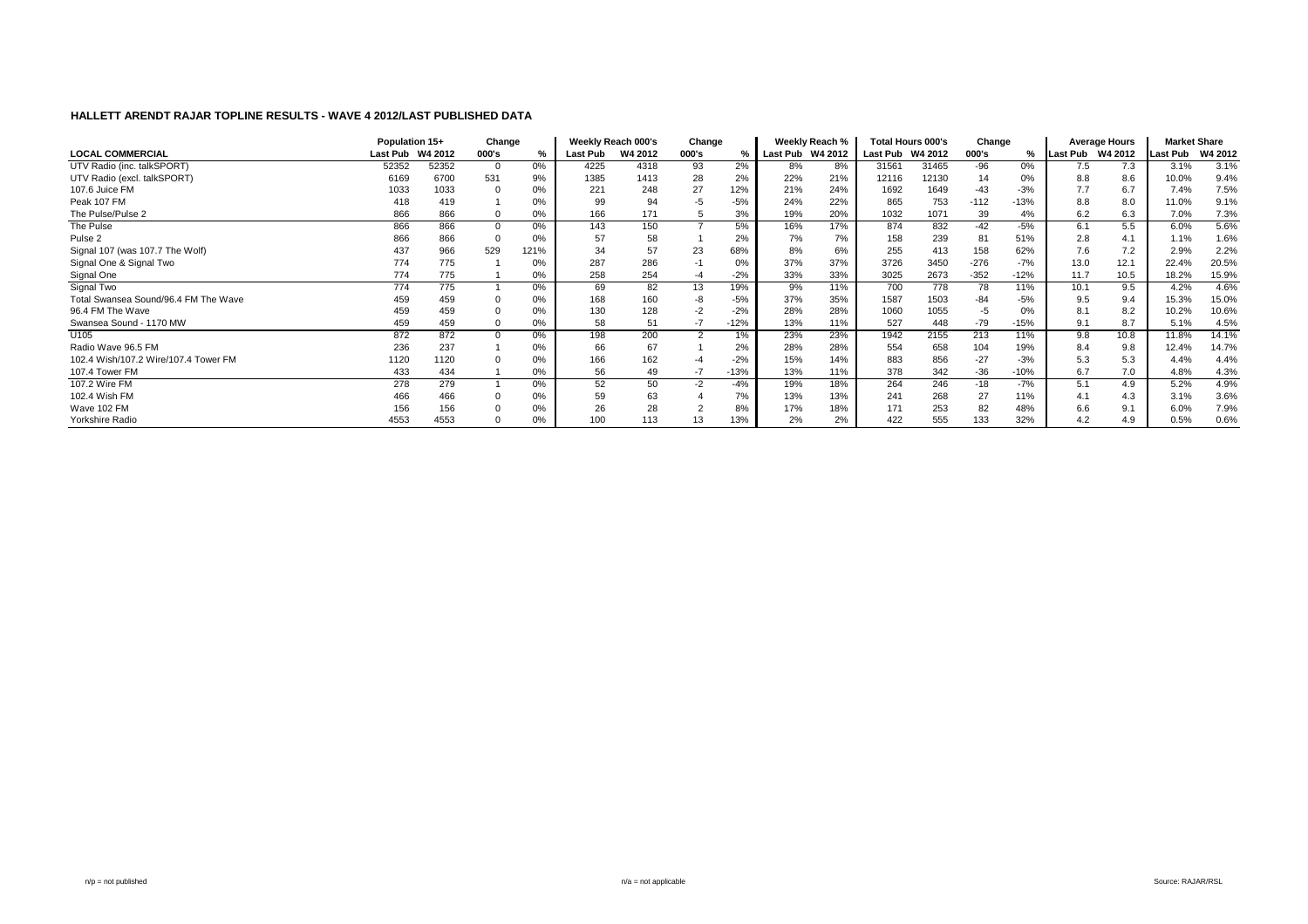|                                      | Population 15+ |         | Change |      |                 | Weekly Reach 000's | Change         |        |                  | Weekly Reach % |          | <b>Total Hours 000's</b> | Change |        |                  | <b>Average Hours</b> | <b>Market Share</b> |         |
|--------------------------------------|----------------|---------|--------|------|-----------------|--------------------|----------------|--------|------------------|----------------|----------|--------------------------|--------|--------|------------------|----------------------|---------------------|---------|
| <b>LOCAL COMMERCIAL</b>              | Last Pub       | W4 2012 | 000's  | %    | <b>Last Pub</b> | W4 2012            | 000's          |        | Last Pub W4 2012 |                | Last Pub | W4 2012                  | 000's  | %      | Last Pub W4 2012 |                      | <b>Last Pub</b>     | W4 2012 |
| UTV Radio (inc. talkSPORT)           | 52352          | 52352   | - 0    | 0%   | 4225            | 4318               | 93             | 2%     | 8%               | 8%             | 31561    | 31465                    | -96    | 0%     | 7.5              | 7.3                  | 3.1%                | 3.1%    |
| UTV Radio (excl. talkSPORT)          | 6169           | 6700    | 531    | 9%   | 1385            | 1413               | 28             | 2%     | 22%              | 21%            | 12116    | 12130                    | 14     | 0%     | 8.8              | 8.6                  | 10.0%               | 9.4%    |
| 107.6 Juice FM                       | 1033           | 1033    |        | 0%   | 221             | 248                | 27             | 12%    | 21%              | 24%            | 1692     | 1649                     | $-43$  | $-3%$  | 7.7              | 6.7                  | 7.4%                | 7.5%    |
| Peak 107 FM                          | 418            | 419     |        | 0%   | 99              | 94                 | -5             | $-5%$  | 24%              | 22%            | 865      | 753                      | $-112$ | $-13%$ | 8.8              | 8.0                  | 11.0%               | 9.1%    |
| The Pulse/Pulse 2                    | 866            | 866     |        | 0%   | 166             | 171                |                | 3%     | 19%              | 20%            | 1032     | 1071                     | 39     | 4%     | 6.2              | 6.3                  | 7.0%                | 7.3%    |
| The Pulse                            | 866            | 866     |        | 0%   | 143             | 150                |                | 5%     | 16%              | 17%            | 874      | 832                      | $-42$  | $-5%$  | 6.1              | 5.5                  | 6.0%                | 5.6%    |
| Pulse <sub>2</sub>                   | 866            | 866     |        | 0%   | 57              | 58                 |                | 2%     | 7%               | 7%             | 158      | 239                      | 81     | 51%    | 2.8              | 4.1                  | 1.1%                | 1.6%    |
| Signal 107 (was 107.7 The Wolf)      | 437            | 966     | 529    | 121% | 34              | 57                 | 23             | 68%    | 8%               | 6%             | 255      | 413                      | 158    | 62%    | 7.6              | 7.2                  | 2.9%                | 2.2%    |
| Signal One & Signal Two              | 774            | 775     |        | 0%   | 287             | 286                | $-1$           |        | 37%              | 37%            | 3726     | 3450                     | $-276$ | $-7%$  | 13.0             | 12.1                 | 22.4%               | 20.5%   |
| Signal One                           | 774            | 775     |        | 0%   | 258             | 254                | -4             | $-2%$  | 33%              | 33%            | 3025     | 2673                     | $-352$ | $-12%$ | 11.7             | 10.5                 | 18.2%               | 15.9%   |
| Signal Two                           | 774            | 775     |        | 0%   | 69              | 82                 | 13             | 19%    | 9%               | 11%            | 700      | 778                      | 78     | 11%    | 10.1             | 9.5                  | 4.2%                | 4.6%    |
| Total Swansea Sound/96.4 FM The Wave | 459            | 459     |        | 0%   | 168             | 160                | -8             | $-5%$  | 37%              | 35%            | 1587     | 1503                     | $-84$  | $-5%$  | 9.5              | 9.4                  | 15.3%               | 15.0%   |
| 96.4 FM The Wave                     | 459            | 459     |        | 0%   | 130             | 128                | $-2$           | $-2%$  | 28%              | 28%            | 1060     | 1055                     | -5     | 0%     | 8.1              | 8.2                  | 10.2%               | 10.6%   |
| Swansea Sound - 1170 MW              | 459            | 459     |        | 0%   | 58              | 51                 | $-7$           | $-12%$ | 13%              | 11%            | 527      | 448                      | $-79$  | $-15%$ | 9.1              | 8.7                  | 5.1%                | 4.5%    |
| U105                                 | 872            | 872     |        | 0%   | 198             | 200                | $\overline{2}$ | 1%     | 23%              | 23%            | 1942     | 2155                     | 213    | 11%    | 9.8              | 10.8                 | 11.8%               | 14.1%   |
| Radio Wave 96.5 FM                   | 236            | 237     |        | 0%   | 66              | 67                 |                | 2%     | 28%              | 28%            | 554      | 658                      | 104    | 19%    | 8.4              | 9.8                  | 12.4%               | 14.7%   |
| 102.4 Wish/107.2 Wire/107.4 Tower FM | 1120           | 1120    |        | 0%   | 166             | 162                |                | $-2%$  | 15%              | 14%            | 883      | 856                      | $-27$  | $-3%$  | 5.3              | 5.3                  | 4.4%                | 4.4%    |
| 107.4 Tower FM                       | 433            | 434     |        | 0%   | 56              | 49                 | $-7$           | $-13%$ | 13%              | 11%            | 378      | 342                      | $-36$  | $-10%$ | 6.7              | 7.0                  | 4.8%                | 4.3%    |
| 107.2 Wire FM                        | 278            | 279     |        | 0%   | 52              | 50                 | $-2$           | $-4%$  | 19%              | 18%            | 264      | 246                      | -18    | $-7%$  | 5.1              | 4.9                  | 5.2%                | 4.9%    |
| 102.4 Wish FM                        | 466            | 466     |        | 0%   | 59              | 63                 |                | 7%     | 13%              | 13%            | 241      | 268                      | 27     | 11%    | 4.1              | 4.3                  | 3.1%                | 3.6%    |
| Wave 102 FM                          | 156            | 156     |        | 0%   | 26              | 28                 |                |        | 17%              | 18%            | 171      | 253                      | 82     | 48%    | 6.6              | 9.1                  | 6.0%                | 7.9%    |
| Yorkshire Radio                      | 4553           | 4553    |        | 0%   | 100             | 113                | 13             | 13%    | 2%               | 2%             | 422      | 555                      | 133    | 32%    | 4.2              | 4.9                  | 0.5%                | 0.6%    |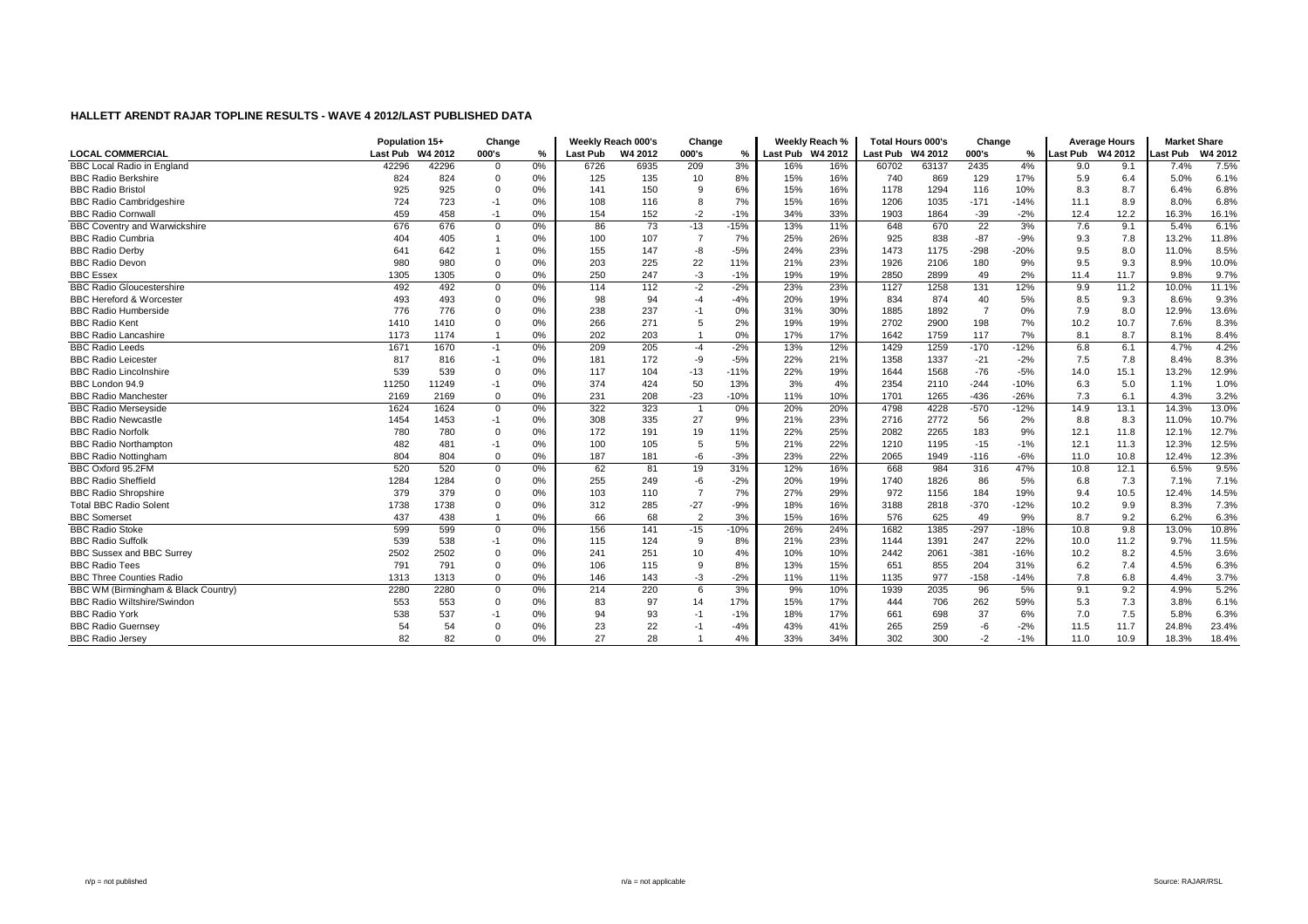|                                      | Population 15+   |       | Change      |       |          | Weekly Reach 000's | Change         |        |                  | Weekly Reach % | <b>Total Hours 000's</b> |       | Change         |        |                  | <b>Average Hours</b> | <b>Market Share</b> |         |
|--------------------------------------|------------------|-------|-------------|-------|----------|--------------------|----------------|--------|------------------|----------------|--------------------------|-------|----------------|--------|------------------|----------------------|---------------------|---------|
| <b>LOCAL COMMERCIAL</b>              | Last Pub W4 2012 |       | 000's       | $\%$  | Last Pub | W4 2012            | 000's          | %      | Last Pub W4 2012 |                | Last Pub W4 2012         |       | 000's          | ℅      | Last Pub W4 2012 |                      | ast Pub             | W4 2012 |
| <b>BBC Local Radio in England</b>    | 42296            | 42296 | $\mathbf 0$ | 0%    | 6726     | 6935               | 209            | 3%     | 16%              | 16%            | 60702                    | 63137 | 2435           | 4%     | 9.0              | 9.1                  | 7.4%                | 7.5%    |
| <b>BBC Radio Berkshire</b>           | 824              | 824   | 0           | 0%    | 125      | 135                | 10             | 8%     | 15%              | 16%            | 740                      | 869   | 129            | 17%    | 5.9              | 6.4                  | 5.0%                | 6.1%    |
| <b>BBC Radio Bristol</b>             | 925              | 925   | $\Omega$    | 0%    | 141      | 150                | 9              | 6%     | 15%              | 16%            | 1178                     | 1294  | 116            | 10%    | 8.3              | 8.7                  | 6.4%                | 6.8%    |
| <b>BBC Radio Cambridgeshire</b>      | 724              | 723   | $-1$        | 0%    | 108      | 116                | 8              | 7%     | 15%              | 16%            | 1206                     | 1035  | $-171$         | $-14%$ | 11.1             | 8.9                  | 8.0%                | 6.8%    |
| <b>BBC Radio Cornwall</b>            | 459              | 458   | $-1$        | 0%    | 154      | 152                | $-2$           | $-1%$  | 34%              | 33%            | 1903                     | 1864  | $-39$          | $-2%$  | 12.4             | 12.2                 | 16.3%               | 16.1%   |
| <b>BBC Coventry and Warwickshire</b> | 676              | 676   | $\Omega$    | 0%    | 86       | 73                 | $-13$          | $-15%$ | 13%              | 11%            | 648                      | 670   | 22             | 3%     | 7.6              | 9.1                  | 5.4%                | 6.1%    |
| <b>BBC Radio Cumbria</b>             | 404              | 405   |             | 0%    | 100      | 107                | $\overline{7}$ | 7%     | 25%              | 26%            | 925                      | 838   | $-87$          | $-9%$  | 9.3              | 7.8                  | 13.2%               | 11.8%   |
| <b>BBC Radio Derby</b>               | 641              | 642   |             | 0%    | 155      | 147                | -8             | $-5%$  | 24%              | 23%            | 1473                     | 1175  | $-298$         | $-20%$ | 9.5              | 8.0                  | 11.0%               | 8.5%    |
| <b>BBC Radio Devon</b>               | 980              | 980   | 0           | 0%    | 203      | 225                | 22             | 11%    | 21%              | 23%            | 1926                     | 2106  | 180            | 9%     | 9.5              | 9.3                  | 8.9%                | 10.0%   |
| <b>BBC Essex</b>                     | 1305             | 1305  | $\Omega$    | 0%    | 250      | 247                | $-3$           | $-1%$  | 19%              | 19%            | 2850                     | 2899  | 49             | 2%     | 11.4             | 11.7                 | 9.8%                | 9.7%    |
| <b>BBC Radio Gloucestershire</b>     | 492              | 492   | $\Omega$    | 0%    | 114      | 112                | $-2$           | $-2%$  | 23%              | 23%            | 1127                     | 1258  | 131            | 12%    | 9.9              | 11.2                 | 10.0%               | 11.1%   |
| <b>BBC Hereford &amp; Worcester</b>  | 493              | 493   | $\Omega$    | 0%    | 98       | 94                 | $-4$           | $-4%$  | 20%              | 19%            | 834                      | 874   | 40             | 5%     | 8.5              | 9.3                  | 8.6%                | 9.3%    |
| <b>BBC Radio Humberside</b>          | 776              | 776   | 0           | 0%    | 238      | 237                | $-1$           | 0%     | 31%              | 30%            | 1885                     | 1892  | $\overline{7}$ | 0%     | 7.9              | 8.0                  | 12.9%               | 13.6%   |
| <b>BBC Radio Kent</b>                | 1410             | 1410  | $\Omega$    | 0%    | 266      | 271                | 5              | 2%     | 19%              | 19%            | 2702                     | 2900  | 198            | 7%     | 10.2             | 10.7                 | 7.6%                | 8.3%    |
| <b>BBC Radio Lancashire</b>          | 1173             | 1174  |             | 0%    | 202      | 203                |                | 0%     | 17%              | 17%            | 1642                     | 1759  | 117            | 7%     | 8.1              | 8.7                  | 8.1%                | 8.4%    |
| <b>BBC Radio Leeds</b>               | 1671             | 1670  | -1          | 0%    | 209      | 205                | $-4$           | $-2%$  | 13%              | 12%            | 1429                     | 1259  | $-170$         | $-12%$ | 6.8              | 6.1                  | 4.7%                | 4.2%    |
| <b>BBC Radio Leicester</b>           | 817              | 816   | $-1$        | 0%    | 181      | 172                | -9             | $-5%$  | 22%              | 21%            | 1358                     | 1337  | $-21$          | $-2%$  | 7.5              | 7.8                  | 8.4%                | 8.3%    |
| <b>BBC Radio Lincolnshire</b>        | 539              | 539   | $\Omega$    | 0%    | 117      | 104                | $-13$          | $-11%$ | 22%              | 19%            | 1644                     | 1568  | $-76$          | $-5%$  | 14.0             | 15.1                 | 13.2%               | 12.9%   |
| BBC London 94.9                      | 11250            | 11249 | $-1$        | 0%    | 374      | 424                | 50             | 13%    | 3%               | 4%             | 2354                     | 2110  | $-244$         | $-10%$ | 6.3              | 5.0                  | 1.1%                | 1.0%    |
| <b>BBC Radio Manchester</b>          | 2169             | 2169  | $\Omega$    | 0%    | 231      | 208                | $-23$          | $-10%$ | 11%              | 10%            | 1701                     | 1265  | $-436$         | $-26%$ | 7.3              | 6.1                  | 4.3%                | 3.2%    |
| <b>BBC Radio Merseyside</b>          | 1624             | 1624  | $\mathbf 0$ | $0\%$ | 322      | 323                | $\overline{1}$ | 0%     | 20%              | 20%            | 4798                     | 4228  | $-570$         | $-12%$ | 14.9             | 13.1                 | 14.3%               | 13.0%   |
| <b>BBC Radio Newcastle</b>           | 1454             | 1453  | $-1$        | 0%    | 308      | 335                | 27             | 9%     | 21%              | 23%            | 2716                     | 2772  | 56             | 2%     | 8.8              | 8.3                  | 11.0%               | 10.7%   |
| <b>BBC Radio Norfolk</b>             | 780              | 780   | $\Omega$    | 0%    | 172      | 191                | 19             | 11%    | 22%              | 25%            | 2082                     | 2265  | 183            | 9%     | 12.1             | 11.8                 | 12.1%               | 12.7%   |
| <b>BBC Radio Northampton</b>         | 482              | 481   | $-1$        | 0%    | 100      | 105                | 5              | 5%     | 21%              | 22%            | 1210                     | 1195  | $-15$          | $-1%$  | 12.1             | 11.3                 | 12.3%               | 12.5%   |
| <b>BBC Radio Nottingham</b>          | 804              | 804   | $\Omega$    | 0%    | 187      | 181                | -6             | $-3%$  | 23%              | 22%            | 2065                     | 1949  | $-116$         | $-6%$  | 11.0             | 10.8                 | 12.4%               | 12.3%   |
| BBC Oxford 95.2FM                    | 520              | 520   | $\Omega$    | 0%    | 62       | 81                 | 19             | 31%    | 12%              | 16%            | 668                      | 984   | 316            | 47%    | 10.8             | 12.1                 | 6.5%                | 9.5%    |
| <b>BBC Radio Sheffield</b>           | 1284             | 1284  | $\Omega$    | 0%    | 255      | 249                | -6             | $-2%$  | 20%              | 19%            | 1740                     | 1826  | 86             | 5%     | 6.8              | 7.3                  | 7.1%                | 7.1%    |
| <b>BBC Radio Shropshire</b>          | 379              | 379   | $\Omega$    | 0%    | 103      | 110                | $\overline{7}$ | 7%     | 27%              | 29%            | 972                      | 1156  | 184            | 19%    | 9.4              | 10.5                 | 12.4%               | 14.5%   |
| <b>Total BBC Radio Solent</b>        | 1738             | 1738  | $\Omega$    | 0%    | 312      | 285                | $-27$          | $-9%$  | 18%              | 16%            | 3188                     | 2818  | $-370$         | $-12%$ | 10.2             | 9.9                  | 8.3%                | 7.3%    |
| <b>BBC Somerset</b>                  | 437              | 438   |             | 0%    | 66       | 68                 | $\overline{2}$ | 3%     | 15%              | 16%            | 576                      | 625   | 49             | 9%     | 8.7              | 9.2                  | 6.2%                | 6.3%    |
| <b>BBC Radio Stoke</b>               | 599              | 599   | $\Omega$    | 0%    | 156      | 141                | $-15$          | $-10%$ | 26%              | 24%            | 1682                     | 1385  | $-297$         | $-18%$ | 10.8             | 9.8                  | 13.0%               | 10.8%   |
| <b>BBC Radio Suffolk</b>             | 539              | 538   | $-1$        | 0%    | 115      | 124                | 9              | 8%     | 21%              | 23%            | 1144                     | 1391  | 247            | 22%    | 10.0             | 11.2                 | 9.7%                | 11.5%   |
| BBC Sussex and BBC Surrey            | 2502             | 2502  | $\Omega$    | 0%    | 241      | 251                | 10             | 4%     | 10%              | 10%            | 2442                     | 2061  | $-381$         | $-16%$ | 10.2             | 8.2                  | 4.5%                | 3.6%    |
| <b>BBC Radio Tees</b>                | 791              | 791   | 0           | 0%    | 106      | 115                | 9              | 8%     | 13%              | 15%            | 651                      | 855   | 204            | 31%    | 6.2              | 7.4                  | 4.5%                | 6.3%    |
| <b>BBC Three Counties Radio</b>      | 1313             | 1313  | $\Omega$    | 0%    | 146      | 143                | $-3$           | $-2%$  | 11%              | 11%            | 1135                     | 977   | $-158$         | $-14%$ | 7.8              | 6.8                  | 4.4%                | 3.7%    |
| BBC WM (Birmingham & Black Country)  | 2280             | 2280  | $\mathbf 0$ | 0%    | 214      | 220                | 6              | 3%     | 9%               | 10%            | 1939                     | 2035  | 96             | 5%     | 9.1              | 9.2                  | 4.9%                | 5.2%    |
| <b>BBC Radio Wiltshire/Swindon</b>   | 553              | 553   | $\Omega$    | 0%    | 83       | 97                 | 14             | 17%    | 15%              | 17%            | 444                      | 706   | 262            | 59%    | 5.3              | 7.3                  | 3.8%                | 6.1%    |
| <b>BBC Radio York</b>                | 538              | 537   | $-1$        | 0%    | 94       | 93                 | $-1$           | $-1%$  | 18%              | 17%            | 661                      | 698   | 37             | 6%     | 7.0              | 7.5                  | 5.8%                | 6.3%    |
| <b>BBC Radio Guernsey</b>            | 54               | 54    |             | 0%    | 23       | 22                 | $-1$           | $-4%$  | 43%              | 41%            | 265                      | 259   | -6             | $-2%$  | 11.5             | 11.7                 | 24.8%               | 23.4%   |
| <b>BBC Radio Jersey</b>              | 82               | 82    | $\Omega$    | 0%    | 27       | 28                 |                | 4%     | 33%              | 34%            | 302                      | 300   | $-2$           | $-1%$  | 11.0             | 10.9                 | 18.3%               | 18.4%   |